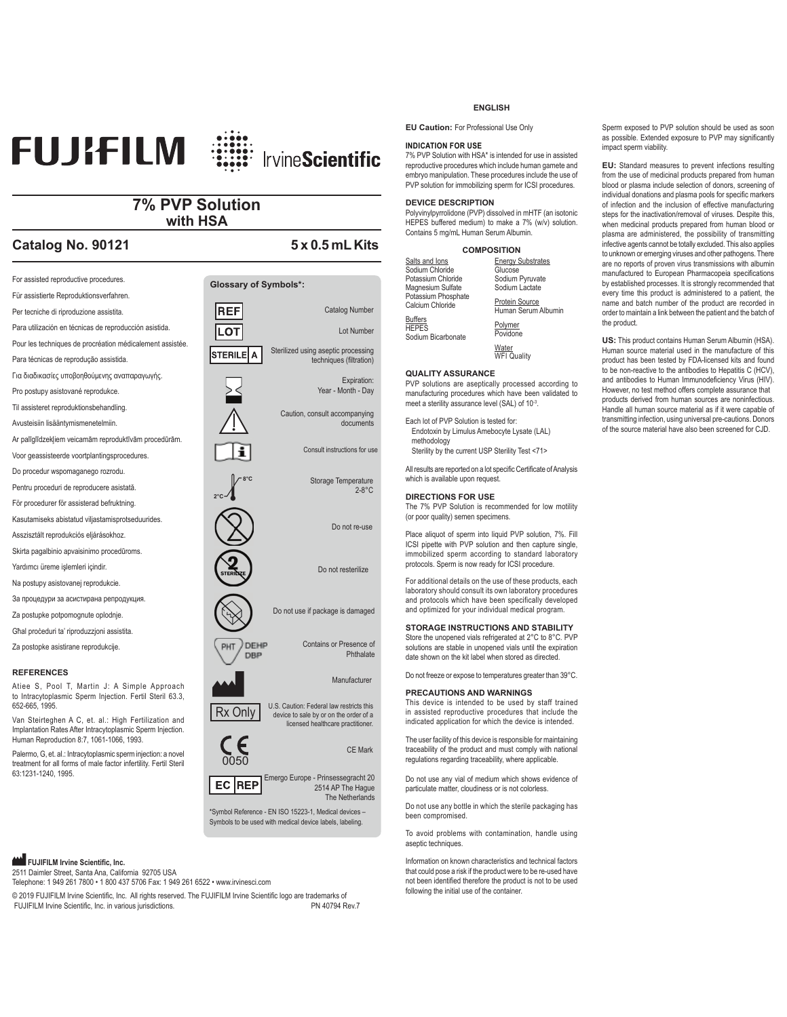# **FUJIFILM IrvineScientific**

### **7% PVP Solution with HSA**

## **Catalog No. 90121 5 x 0.5 mL Kits**



Palermo, G. et. al.: Intracytoplasmic sperm injection: a novel treatment for all forms of male factor infertility. Fertil Steril 63:1231-1240, 1995.

Emergo Europe - Prinsessegracht 20 2514 AP The Hague EC REP The Netherlands \*Symbol Reference - EN ISO 15223-1, Medical devices –

Symbols to be used with medical device labels, labeling.

### **FUJIFILM Irvine Scientific, Inc.**

2511 Daimler Street, Santa Ana, California 92705 USA

Telephone: 1 949 261 7800 • 1 800 437 5706 Fax: 1 949 261 6522 • www.irvinesci.com

© 2019 FUJIFILM Irvine Scientific, Inc. All rights reserved. The FUJIFILM Irvine Scientific logo are trademarks of FUJIFILM Irvine Scientific, Inc. in various jurisdictions. The matrix of the COVID-TIME Rev.7

### **ENGLISH**

**EU Caution:** For Professional Use Only

### **INDICATION FOR USE**

7% PVP Solution with HSA\* is intended for use in assisted reproductive procedures which include human gamete and embryo manipulation. These procedures include the use of PVP solution for immobilizing sperm for ICSI procedures.

### **DEVICE DESCRIPTION**

Polyvinylpyrrolidone (PVP) dissolved in mHTF (an isotonic HEPES buffered medium) to make a 7% (w/v) solution. Contains 5 mg/mL Human Serum Albumin.

|  | <b>COMPOSITION</b> |  |  |
|--|--------------------|--|--|
|  |                    |  |  |

| Salts and lons                                       | <b>Energy Substrates</b>              |
|------------------------------------------------------|---------------------------------------|
| Sodium Chloride                                      | Glucose                               |
| Potassium Chloride                                   | Sodium Pyruvate                       |
| Magnesium Sulfate                                    | Sodium Lactate                        |
| Potassium Phosphate<br>Calcium Chloride              | Protein Source<br>Human Serum Albumir |
| <b>Buffers</b><br><b>HEPES</b><br>Sodium Bicarbonate | Polymer<br>Povidone                   |

Water<br>WFI Quality

### **QUALITY ASSURANCE**

PVP solutions are aseptically processed according to manufacturing procedures which have been validated to meet a sterility assurance level (SAL) of 10<sup>-3</sup>.

Each lot of PVP Solution is tested for: Endotoxin by Limulus Amebocyte Lysate (LAL) methodology Sterility by the current USP Sterility Test <71>

All results are reported on a lot specific Certificate of Analysis which is available upon request.

#### **DIRECTIONS FOR USE**

The 7% PVP Solution is recommended for low motility (or poor quality) semen specimens.

Place aliquot of sperm into liquid PVP solution, 7%. Fill ICSI pipette with PVP solution and then capture single, immobilized sperm according to standard laboratory protocols. Sperm is now ready for ICSI procedure.

For additional details on the use of these products, each laboratory should consult its own laboratory procedures and protocols which have been specifically developed and optimized for your individual medical program.

### **STORAGE INSTRUCTIONS AND STABILITY**

Store the unopened vials refrigerated at 2°C to 8°C. PVP solutions are stable in unopened vials until the expiration date shown on the kit label when stored as directed.

Do not freeze or expose to temperatures greater than 39°C.

#### **PRECAUTIONS AND WARNINGS**

This device is intended to be used by staff trained in assisted reproductive procedures that include the indicated application for which the device is intended.

The user facility of this device is responsible for maintaining traceability of the product and must comply with national regulations regarding traceability, where applicable.

Do not use any vial of medium which shows evidence of particulate matter, cloudiness or is not colorless.

Do not use any bottle in which the sterile packaging has been compromised.

To avoid problems with contamination, handle using aseptic techniques.

Information on known characteristics and technical factors that could pose a risk if the product were to be re-used have not been identified therefore the product is not to be used following the initial use of the container.

Sperm exposed to PVP solution should be used as soon as possible. Extended exposure to PVP may significantly impact sperm viability.

**EU:** Standard measures to prevent infections resulting from the use of medicinal products prepared from human blood or plasma include selection of donors, screening of individual donations and plasma pools for specific markers of infection and the inclusion of effective manufacturing steps for the inactivation/removal of viruses. Despite this, when medicinal products prepared from human blood or plasma are administered, the possibility of transmitting infective agents cannot be totally excluded. This also applies to unknown or emerging viruses and other pathogens. There are no reports of proven virus transmissions with albumin manufactured to European Pharmacopeia specifications by established processes. It is strongly recommended that every time this product is administered to a patient, the name and batch number of the product are recorded in order to maintain a link between the patient and the batch of the product.

**US:** This product contains Human Serum Albumin (HSA). Human source material used in the manufacture of this product has been tested by FDA-licensed kits and found to be non-reactive to the antibodies to Hepatitis C (HCV), and antibodies to Human Immunodeficiency Virus (HIV). However, no test method offers complete assurance that products derived from human sources are noninfectious. Handle all human source material as if it were capable of transmitting infection, using universal pre-cautions. Donors of the source material have also been screened for CJD.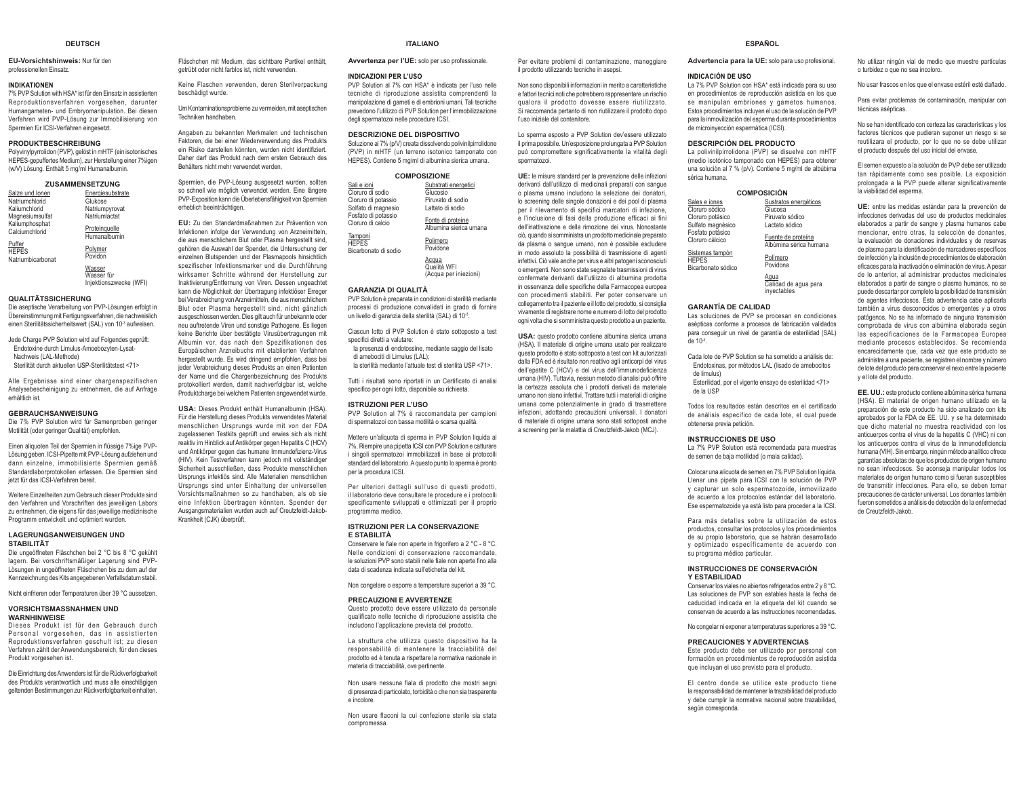#### **DEUTSCH**

**EU-Vorsichtshinweis:** Nur für den professionellen Einsatz.

#### **INDIKATIONEN**

 7% PVP Solution with HSA\* ist für den Einsatz in assistierten Reproduktionsverfahren vorgesehen, darunter Humangameten- und Embryomanipulation. Bei diesen Verfahren wird PVP-Lösung zur Immobilisierung von Spermien für ICSI-Verfahren eingesetzt.

#### **PRODUKTBESCHREIBUNG**

 Polyvinylpyrrolidon (PVP), gelöst in mHTF (ein isotonisches HEPES-gepuffertes Medium), zur Herstellung einer 7%igen (w/V) Lösung. Enthält 5 mg/ml Humanalbumin.

#### **ZUSAMMENSETZUNG**

| Salze und Ionen                             | Energiesubstrate              |
|---------------------------------------------|-------------------------------|
| Natriumchlorid                              | Glukose                       |
| Kaliumchlorid                               | Natriumpyrovat                |
| Magnesiumsulfat                             | Natriumlactat                 |
| Kaliumphosphat<br>Calciumchlorid            | Proteinquelle<br>Humanalbumin |
| Puffer<br><b>HEPES</b><br>Natriumbicarbonat | Polymer<br>Povidon            |
|                                             | Maccar                        |

<u>Wasser</u><br>Wasser für Injektionszwecke (WFI)

#### **QUALITÄTSSICHERUNG**

 Die aseptische Verarbeitung von PVP-Lösungen erfolgt in Übereinstimmung mit Fertigungsverfahren, die nachweislich einen Sterilitätssicherheitswert (SAL) von 10-3 aufweisen.

Jede Charge PVP Solution wird auf Folgendes geprüft: Endotoxine durch Limulus-Amoebozyten-Lysat-Nachweis (LAL-Methode) Sterilität durch aktuellen USP-Sterilitätstest <71>

Alle Ergebnisse sind einer chargenspezifischen Analysebescheinigung zu entnehmen, die auf Anfrage erhältlich ist.

#### **GEBRAUCHSANWEISUNG**

 Die 7% PVP Solution wird für Samenproben geringer Motilität (oder geringer Qualität) empfohlen.

Einen aliquoten Teil der Spermien in flüssige 7%ige PVP-Lösung geben. ICSI-Pipette mit PVP-Lösung aufziehen und dann einzelne, immobilisierte Spermien gemäß Standardlaborprotokollen erfassen. Die Spermien sind ietzt für das ICSI-Verfahren hereit

Weitere Einzelheiten zum Gebrauch dieser Produkte sind den Verfahren und Vorschriften des jeweiligen Labors zu entnehmen, die eigens für das jeweilige medizinische Programm entwickelt und optimiert wurden.

#### **LAGERUNGSANWEISUNGEN UND STABILITÄT**

 Die ungeöffneten Fläschchen bei 2 °C bis 8 °C gekühlt lagern. Bei vorschriftsmäßiger Lagerung sind PVP-Lösungen in ungeöffneten Fläschchen bis zu dem auf der Kennzeichnung des Kits angegebenen Verfallsdatum stabil.

Nicht einfrieren oder Temperaturen über 39 °C aussetzen.

#### **VORSICHTSMASSNAHMEN UND WARNHINWEISE**

 Dieses Produkt ist für den Gebrauch durch Personal vorgesehen, das in assistierten Reproduktionsverfahren geschult ist; zu diesen Verfahren zählt der Anwendungsbereich, für den dieses Produkt vorgesehen ist.

Die Einrichtung des Anwenders ist für die Rückverfolgbarkeit des Produkts verantwortlich und muss alle einschlägigen geltenden Bestimmungen zur Rückverfolgbarkeit einhalten.

Fläschchen mit Medium, das sichtbare Partikel enthält, getrübt oder nicht farblos ist, nicht verwenden.

Keine Flaschen verwenden, deren Sterilverpackung beschädigt wurde.

Um Kontaminationsprobleme zu vermeiden, mit aseptischen Techniken handhaben.

Angaben zu bekannten Merkmalen und technischen Faktoren, die bei einer Wiederverwendung des Produkts ein Risiko darstellen könnten, wurden nicht identifiziert. Daher darf das Produkt nach dem ersten Gebrauch des Behälters nicht mehr verwendet werden.

Spermien, die PVP-Lösung ausgesetzt wurden, sollten so schnell wie möglich verwendet werden. Eine längere PVP-Exposition kann die Überlebensfähigkeit von Spermien erheblich beeinträchtigen.

**EU:** Zu den Standardmaßnahmen zur Prävention von Infektionen infolge der Verwendung von Arzneimitteln, die aus menschlichem Blut oder Plasma hergestellt sind, gehören die Auswahl der Spender, die Untersuchung der einzelnen Blutspenden und der Plasmapools hinsichtlich spezifischer Infektionsmarker und die Durchführung wirksamer Schritte während der Herstellung zur Inaktivierung/Entfernung von Viren. Dessen ungeachtet kann die Möglichkeit der Übertragung infektiöser Erreger bei Verabreichung von Arzneimitteln, die aus menschlichem Blut oder Plasma hergestellt sind, nicht gänzlich ausgeschlossen werden. Dies gilt auch für unbekannte oder neu auftretende Viren und sonstige Pathogene. Es liegen keine Berichte über bestätigte Virusübertragungen mit Albumin vor, das nach den Spezifikationen des Europäischen Arzneibuchs mit etablierten Verfahren hergestellt wurde. Es wird dringend empfohlen, dass bei ieder Verabreichung dieses Produkts an einen Patienten der Name und die Chargenbezeichnung des Produkts protokolliert werden, damit nachverfolgbar ist, welche Produktcharge bei welchem Patienten angewendet wurde.

**USA:** Dieses Produkt enthält Humanalbumin (HSA). Für die Herstellung dieses Produkts verwendetes Material menschlichen Ursprungs wurde mit von der FDA zugelassenen Testkits geprüft und erwies sich als nicht reaktiv im Hinblick auf Antikörper gegen Hepatitis C (HCV) und Antikörper gegen das humane Immundefizienz-Virus (HIV) Kein Testverfahren kann jedoch mit vollständiger Sicherheit ausschließen, dass Produkte menschlichen Ursprungs infektiös sind. Alle Materialien menschlichen Ursprungs sind unter Einhaltung der universellen Vorsichtsmaßnahmen so zu handhaben, als ob sie eine Infektion übertragen könnten. Spender der Ausgangsmaterialien wurden auch auf Creutzfeldt-Jakob-Krankheit (CJK) überprüft.

#### **ISTRUZIONI PER LA CONSERVAZIONE E STABILITÀ**

Conservare le fiale non aperte in frigorifero a 2 °C - 8 °C. Nelle condizioni di conservazione raccomandate, le soluzioni PVP sono stabili nelle fiale non aperte fino alla data di scadenza indicata sull'etichetta del kit.

Non congelare o esporre a temperature superiori a 39 °C.

#### **PRECAUZIONI E AVVERTENZE**

 Questo prodotto deve essere utilizzato da personale qualificato nelle tecniche di riproduzione assistita che includono l'applicazione prevista del prodotto

La struttura che utilizza questo dispositivo ha la responsabilità di mantenere la tracciabilità del prodotto ed è tenuta a rispettare la normativa nazionale in materia di tracciabilità, ove pertinente.

Non usare nessuna fiala di prodotto che mostri segni di presenza di particolato, torbidità o che non sia trasparente e incolore.

Non usare flaconi la cui confezione sterile sia stata compromessa.

### **ITALIANOAvvertenza per l'UE:** solo per uso professionale.

PVP Solution al 7% con HSA\* è indicata per l'uso nelle tecniche di riproduzione assistita comprendenti la manipolazione di gameti e di embrioni umani. Tali tecniche prevedono l'utilizzo di PVP Solution per l'immobilizzazione

Substrati energetici

Glucosio Piruvato di sodio Lattato di sodioFonte di proteine Albumina sierica umana Polimero PovidoneAcqua Qualità WFI (Acqua per iniezioni)

 PVP Solution è preparata in condizioni di sterilità mediante processi di produzione convalidati in grado di fornire un livello di garanzia della sterilità (SAL) di 10-3. Ciascun lotto di PVP Solution è stato sottoposto a test

la presenza di endotossine, mediante saggio del lisato

la sterilità mediante l'attuale test di sterilità USP <71>. Tutti i risultati sono riportati in un Certificato di analisi specifico per ogni lotto, disponibile su richiesta. **ISTRUZIONI PER L'USO**

 PVP Solution al 7% è raccomandata per campioni di spermatozoi con bassa motilità o scarsa qualità. Mettere un'aliguota di sperma in PVP Solution liquida al 7%. Riempire una pipetta ICSI con PVP Solution e catturare i singoli spermatozoi immobilizzati in base ai protocolli standard del laboratorio. A questo punto lo sperma è pronto

Per ulteriori dettagli sull'uso di questi prodotti. il laboratorio deve consultare le procedure e i protocolli specificamente sviluppati e ottimizzati per il proprio

**INDICAZIONI PER L'USO**

<u>Sali e ioni</u><br>Cloruro di sodio Cloruro di potassio Solfato di magnesio Fosfato di potassio Cloruro di calcio**Tamponi HEPES** Bicarbonato di sodio

**GARANZIA DI QUALITÀ**

shecifici diretti a valutare:

per la procedura ICSI.

programma medico.

di amebociti di Limulus (LAL);

degli spermatozoi nelle procedure ICSI. **DESCRIZIONE DEL DISPOSITIVO** Soluzione al 7% (p/V) creata dissolvendo polivinilpirrolidone (PVP) in mHTF (un terreno isotonico tamponato con HEPES). Contiene 5 mg/ml di albumina sierica umana. **COMPOSIZIONE**

Per evitare problemi di contaminazione, maneggiare il prodotto utilizzando tecniche in asepsi.

Non sono disponibili informazioni in merito a caratteristiche e fattori tecnici noti che potrebbero rappresentare un rischio qualora il prodotto dovesse essere riutilizzato. Si raccomanda pertanto di non riutilizzare il prodotto dopo l'uso iniziale del contenitore

Lo sperma esposto a PVP Solution dev'essere utilizzato il prima possibile. Un'esposizione prolungata a PVP Solution può compromettere significativamente la vitalità degli spermatozoi.

**UE:** le misure standard per la prevenzione delle infezioni derivanti dall'utilizzo di medicinali preparati con sangue o plasma umano includono la selezione dei donatori, lo screening delle singole donazioni e dei pool di plasma per il rilevamento di specifici marcatori di infezione, e l'inclusione di fasi della produzione efficaci ai fini Gehinattivazione e della rimozione dei virus Nonostante ciò, quando si somministra un prodotto medicinale preparato da plasma o sangue umano, non è possibile escludere in modo assoluto la possibilità di trasmissione di agenti infettivi. Ciò vale anche per virus e altri patogeni sconosciuti o emergenti. Non sono state segnalate trasmissioni di virus confermate derivanti dall'utilizzo di albumina prodotta in osservanza delle specifiche della Farmacopea europea con procedimenti stabiliti. Per poter conservare un collegamento tra il paziente e il lotto del prodotto, si consiglia vivamente di registrare nome e numero di lotto del prodotto ogni volta che si somministra questo prodotto a un paziente.

**USA:** questo prodotto contiene albumina sierica umana (HSA). Il materiale di origine umana usato per realizzare questo prodotto è stato sottoposto a test con kit autorizzati dalla FDA ed è risultato non reattivo agli anticorpi del virus dell'epatite C (HCV) e del virus dell'immunodeficienza umana (HIV). Tuttavia, nessun metodo di analisi può offrire la certezza assoluta che i prodotti derivati da materiale umano non siano infettivi. Trattare tutti i materiali di origine umana come potenzialmente in grado di trasmettere infezioni, adottando precauzioni universali. I donatori di materiale di origine umana sono stati sottoposti anche a screening per la malattia di Creutzfeldt-Jakob (MCJ).

### **ESPAÑOL**

**Advertencia para la UE:** solo para uso profesional.

#### **INDICACIÓN DE USO**

**HEPES** 

 La 7% PVP Solution con HSA\* está indicada para su uso en procedimientos de reproducción asistida en los que se manipulan embriones y gametos humanos. Estos procedimientos incluyen el uso de la solución de PVP para la inmovilización del esperma durante procedimientos de microinyección espermática (ICSI).

#### **DESCRIPCIÓN DEL PRODUCTO**

 La polivinilpirrolidona (PVP) se disuelve con mHTF (medio isotónico tamponado con HEPES) para obtener una solución al 7 % (p/v). Contiene 5 mg/ml de albúbima sérica humana.

#### **COMPOSICIÓN**

| Sales e iones                       | Sustratos energéticos                        |
|-------------------------------------|----------------------------------------------|
| Cloruro sódico                      | Glucosa                                      |
| Cloruro potásico                    | Piruvato sódico                              |
| Sulfato magnésico                   | Lactato sódico                               |
| Fosfato potásico<br>Cloruro cálcico | Fuente de proteína<br>Albúmina sérica humana |
| Sistemas tamnón                     |                                              |

 Bicarbonato sódicoPolímeroPovidona

<u>Agua</u><br>Calidad de agua para inyectables

#### **GARANTÍA DE CALIDAD**

 Las soluciones de PVP se procesan en condiciones asépticas conforme a procesos de fabricación validados para conseguir un nivel de garantía de esterilidad (SAL)  $de 10<sup>-3</sup>$ 

Cada lote de PVP Solution se ha sometido a análisis de: Endotoxinas, por métodos LAL (lisado de amebocitos de limulus)

Esterilidad, por el vigente ensayo de esterilidad <71> de la USP

Todos los resultados están descritos en el certificado de análisis específico de cada lote, el cual puede obtenerse previa petición.

#### **INSTRUCCIONES DE USO**

 La 7% PVP Solution está recomendada para muestras de semen de baia motilidad (o mala calidad).

Colocar una alícuota de semen en 7% PVP Solution líquida. Llenar una pipeta para ICSI con la solución de PVP y capturar un solo espermatozoide, inmovilizado de acuerdo a los protocolos estándar del laboratorio. Ese espermatozoide ya está listo para proceder a la ICSI.

Para más detalles sobre la utilización de estos productos, consultar los protocolos y los procedimientos de su propio laboratorio, que se habrán desarrollado y optimizado específicamente de acuerdo con su programa médico particular.

#### **INSTRUCCIONES DE CONSERVACIÓN Y ESTABILIDAD**

Conservar los viales no abiertos refrigerados entre 2 y 8 °C. Las soluciones de PVP son estables hasta la fecha de caducidad indicada en la etiqueta del kit cuando se conservan de acuerdo a las instrucciones recomendadas.

No congelar ni exponer a temperaturas superiores a 39 °C.

#### **PRECAUCIONES Y ADVERTENCIAS**

 Este producto debe ser utilizado por personal con formación en procedimientos de reproducción asistida que incluyan el uso previsto para el producto.

El centro donde se utilice este producto tiene la responsabilidad de mantener la trazabilidad del producto y debe cumplir la normativa nacional sobre trazabilidad, según corresponda.

No utilizar ningún vial de medio que muestre partículas o turbidez o que no sea incoloro.

No usar frascos en los que el envase estéril esté dañado.

Para evitar problemas de contaminación, manipular con técnicas asénticas

No se han identificado con certeza las características y los factores técnicos que pudieran suponer un riesgo si se reutilizara el producto, por lo que no se debe utilizar el producto después del uso inicial del envase.

El semen expuesto a la solución de PVP debe ser utilizado tan rápidamente como sea posible. La exposición prolongada a la PVP puede alterar significativamente la viabilidad del esperma.

**UE:** entre las medidas estándar para la prevención de infecciones derivadas del uso de productos medicinales elaborados a partir de sangre y plasma humanos cabe mencionar, entre otras, la selección de donantes, la evaluación de donaciones individuales y de reservas de plasma para la identificación de marcadores específicos de infección y la inclusión de procedimientos de elaboración eficaces para la inactivación o eliminación de virus. A pesar de lo anterior, al administrar productos medicinales elaborados a partir de sangre o plasma humanos, no se puede descartar por completo la posibilidad de transmisión de agentes infecciosos. Esta advertencia cabe aplicarla también a virus desconocidos o emergentes y a otros patógenos. No se ha informado de ninguna transmisión comprobada de virus con albúmina elaborada según las especificaciones de la Farmacopea Europea mediante procesos establecidos. Se recomienda encarecidamente que, cada vez que este producto se administre a una paciente, se registren el nombre y número de lote del producto para conservar el nexo entre la paciente y el lote del producto.

**EE. UU.:** este producto contiene albúmina sérica humana (HSA). El material de origen humano utilizado en la preparación de este producto ha sido analizado con kits aprobados por la FDA de EE. UU. y se ha determinado que dicho material no muestra reactividad con los anticuerpos contra el virus de la hepatitis C (VHC) ni con los anticuerpos contra el virus de la inmunodeficiencia humana (VIH). Sin embargo, ningún método analítico ofrece garantías absolutas de que los productos de origen humano no sean infecciosos. Se aconseja manipular todos los materiales de origen humano como si fueran susceptibles de transmitir infecciones. Para ello, se deben tomar precauciones de carácter universal. Los donantes también fueron sometidos a análisis de detección de la enfermedad de Creutzfeldt-Jakob.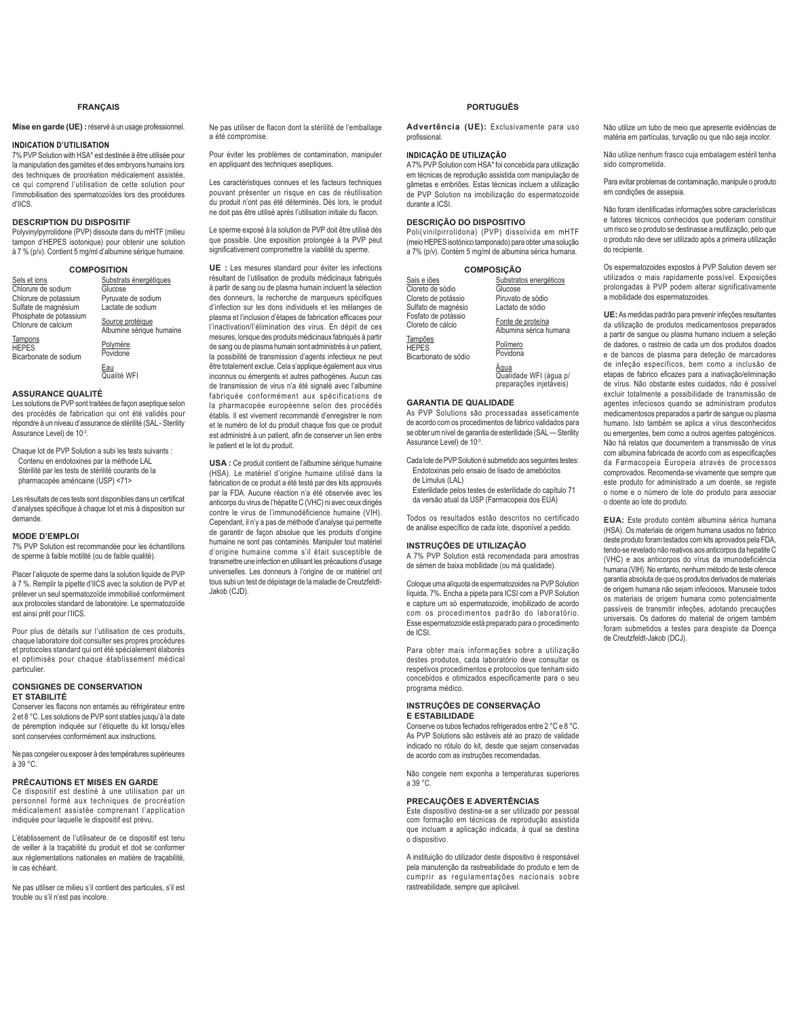### **FRANÇAIS**

**Mise en garde (UE) :**réservé à un usage professionnel.

#### **INDICATION D'UTILISATION**

7% PVP Solution with HSA\* est destinée à être utilisée pour la manipulation des gamètes et des embryons humains lors des techniques de procréation médicalement assistée, ce qui comprend l'utilisation de cette solution pour l'immobilisation des spermatozoïdes lors des procédures  $d$ <sup> $n$ </sup> $n$ 

### **DESCRIPTION DU DISPOSITIF**

Polyvinylpyrrolidone (PVP) dissoute dans du mHTF (milieu tampon d'HEPES isotonique) pour obtenir une solution à 7 % (p/v). Contient 5 mg/ml d'albumine sérique humaine.

|                    | <b>COMPOSITION</b>     |
|--------------------|------------------------|
| Sels et ions       | Substrats énergétiques |
| Chlorure de sodium | Glucose                |

Chlorure de potassium Sulfate de magnésium Phosphate de potassium Chlorure de calcium Pyruvate de sodium Lactate de sodium Source protéique

Tampons HEPES Bicarbonate de sodium

Povidone

Polymère

<u>Eau</u><br>Qualité WFI

Albumine sérique humaine

### **ASSURANCE QUALITÉ**

Les solutions de PVP sont traitées de façon aseptique selon des procédés de fabrication qui ont été validés pour répondre à un niveau d'assurance de stérilité (SAL - Sterility Assurance Level) de 10-3.

Chaque lot de PVP Solution a subi les tests suivants : Contenu en endotoxines par la méthode LAL Stérilité par les tests de stérilité courants de la pharmacopée américaine (USP) <71>

Les résultats de ces tests sont disponibles dans un certificat d'analyses spécifique à chaque lot et mis à disposition sur demande.

### **MODE D'EMPLOI**

7% PVP Solution est recommandée pour les échantillons de sperme à faible motilité (ou de faible qualité).

Placer l'aliquote de sperme dans la solution liquide de PVP à 7 %. Remolir la pinette d'IICS avec la solution de PVP et prélever un seul spermatozoïde immobilisé conformément aux protocoles standard de laboratoire. Le spermatozoïde est ainsi prêt pour l'IICS.

Pour plus de détails sur l'utilisation de ces produits, chaque laboratoire doit consulter ses propres procédures et protocoles standard qui ont été spécialement élaborés et optimisés pour chaque établissement médical particulier.

### **CONSIGNES DE CONSERVATION ET STABILITÉ**

Conserver les flacons non entamés au réfrigérateur entre 2 et 8 °C. Les solutions de PVP sont stables jusqu'à la date de péremption indiquée sur l'étiquette du kit lorsqu'elles sont conservées conformément aux instructions.

Ne pas congeler ou exposer à des températures supérieures à 39 °C.

### **PRÉCAUTIONS ET MISES EN GARDE**

Ce dispositif est destiné à une utilisation par un personnel formé aux techniques de procréation nédicalement assistée comprenant l'application indiquée pour laquelle le dispositif est prévu.

L'établissement de l'utilisateur de ce dispositif est tenu de veiller à la traçabilité du produit et doit se conformer aux réglementations nationales en matière de traçabilité, le cas échéant.

Ne pas utiliser ce milieu s'il contient des particules, s'il est trouble ou s'il n'est pas incolore.

Ne pas utiliser de flacon dont la stérilité de l'emballage a été compromise.

Pour éviter les problèmes de contamination, manipuler en appliquant des techniques aseptiques.

Les caractéristiques connues et les facteurs techniques pouvant présenter un risque en cas de réutilisation du produit n'ont pas été déterminés. Dès lors, le produit ne doit pas être utilisé après l'utilisation initiale du flacon

Le sperme exposé à la solution de PVP doit être utilisé dès que possible. Une exposition prolongée à la PVP peut significativement compromettre la viabilité du sperme

**UE :** Les mesures standard pour éviter les infections résultant de l'utilisation de produits médicinaux fabriqués à partir de sang ou de plasma humain incluent la sélection des donneurs, la recherche de marqueurs spécifiques d'infection sur les dons individuels et les mélanges de plasma et l'inclusion d'étapes de fabrication efficaces pour l'inactivation/l'élimination des virus. En dépit de ces mesures, lorsque des produits médicinaux fabriqués à partir de sang ou de plasma humain sont administrés à un patient, la possibilité de transmission d'agents infectieux ne peut être totalement exclue. Cela s'applique également aux virus inconnus ou émergents et autres pathogènes. Aucun cas de transmission de virus n'a été signalé avec l'albumine fabriquée conformément aux spécifications de la pharmacopée européenne selon des procédés établis. Il est vivement recommandé d'enregistrer le nom et le numéro de lot du produit chaque fois que ce produit est administré à un natient afin de conserver un lien entre le patient et le lot du produit.

**USA :** Ce produit contient de l'albumine sérique humaine (HSA). Le matériel d'origine humaine utilisé dans la fabrication de ce produit a été testé par des kits approuvés par la FDA. Aucune réaction n'a été observée avec les anticorps du virus de l'hépatite C (VHC) ni avec ceux dirigés contre le virus de l'immunodéficience humaine (VIH). Cependant, il n'y a pas de méthode d'analyse qui permette de garantir de façon absolue que les produits d'origine humaine ne sont pas contaminés. Manipuler tout matériel d'origine humaine comme s'il était susceptible de transmettre une infection en utilisant les précautions d'usage universelles. Les donneurs à l'origine de ce matériel ont tous subi un test de dépistage de la maladie de Creutzfeldt-Jakob (CJD).

### **PORTUGUÊS**

**Advertência (UE):** Exclusivamente para uso nrofissional

### **INDICAÇÃO DE UTILIZAÇÃO**

A 7% PVP Solution com HSA\* foi concebida para utilização em técnicas de reprodução assistida com manipulação de gâmetas e embriões. Estas técnicas incluem a utilização de PVP Solution na imobilização do espermatozoide durante a ICSI.

### **DESCRIÇÃO DO DISPOSITIVO**

Poli(vinilpirrolidona) (PVP) dissolvida em mHTF (meio HEPES isotónico tamponado) para obter uma solução a 7% (p/v). Contém 5 mg/ml de albumina sérica humana.

| <b>COMPOSIÇÃO</b> |                        |  |
|-------------------|------------------------|--|
| èS                | Substratos energéticos |  |
| e sódio           | Glucose                |  |

| Sais e jões<br>Cloreto de sódio<br>Cloreto de potássio<br>Sulfato de magnésio<br>Fosfato de potássio<br>Cloreto de cálcio |  |
|---------------------------------------------------------------------------------------------------------------------------|--|
| Tampões<br><b>HEPES</b><br>Bicarbonato de sódio                                                                           |  |

Polímero Povidona

<u>Água</u><br>Qualidade WFI (água p/<br>preparações injetáveis)

Piruvato de sódio Lactato de sódio Fonte de proteína Albumina sérica humana

### **GARANTIA DE QUALIDADE**

As PVP Solutions são processadas asseticamente de acordo com os procedimentos de fabrico validados para se obter um nível de garantia de esterilidade (SAL - Sterility Assurance Level) de 10-3.

Cada lote de PVP Solution é submetido aos seguintes testes: Endotoxinas pelo ensaio de lisado de amebócitos de Limulus (LAL)

Esterilidade pelos testes de esterilidade do capítulo 71 da versão atual da USP (Farmacopeia dos EUA)

Todos os resultados estão descritos no certificado de análise específico de cada lote, disponível a pedido.

### **INSTRUÇÕES DE UTILIZAÇÃO**

A 7% PVP Solution está recomendada para amostras de sémen de baixa mobilidade (ou má qualidade).

Coloque uma alíquota de espermatozoides na PVP Solution líquida, 7%. Encha a pipeta para ICSI com a PVP Solution e capture um só espermatozoide, imobilizado de acordo com os procedimentos padrão do laboratório. Esse espermatozoide está preparado para o procedimento de ICSI.

Para obter mais informações sobre a utilização destes produtos, cada laboratório deve consultar os respetivos procedimentos e protocolos que tenham sido concebidos e otimizados especificamente para o seu programa médico.

### **INSTRUÇÕES DE CONSERVAÇÃO E ESTABILIDADE**

Conserve os tubos fechados refrigerados entre 2 °C e 8 °C. As PVP Solutions são estáveis até ao prazo de validade indicado no rótulo do kit, desde que sejam conservadas de acordo com as instruções recomendadas.

Não congele nem exponha a temperaturas superiores a 39 °C.

### **PRECAUÇÕES E ADVERTÊNCIAS**

Este dispositivo destina-se a ser utilizado por pessoal com formação em técnicas de reprodução assistida que incluam a aplicação indicada, à qual se destina o dispositivo.

A instituição do utilizador deste dispositivo é responsável pela manutenção da rastreabilidade do produto e tem de cumprir as regulamentações nacionais sobre rastreabilidade, sempre que aplicável.

Não utilize um tubo de meio que apresente evidências de matéria em partículas, turvação ou que não seja incolor.

Não utilize nenhum frasco cuja embalagem estéril tenha sido comprometida.

Para evitar problemas de contaminação, manipule o produto em condições de assepsia.

Não foram identificadas informações sobre características e fatores técnicos conhecidos que poderiam constituir um risco se o produto se destinasse a reutilização, pelo que o produto não deve ser utilizado após a primeira utilização do recipiente.

Os espermatozoides expostos à PVP Solution devem ser utilizados o mais rapidamente possível. Exposições prolongadas à PVP podem alterar significativamente a mobilidade dos espermatozoides.

**UE:** As medidas padrão para prevenir infeções resultantes da utilização de produtos medicamentosos preparados a partir de sangue ou plasma humano incluem a seleção de dadores, o rastreio de cada um dos produtos doados e de bancos de plasma para deteção de marcadores de infeção específicos, bem como a inclusão de etapas de fabrico eficazes para a inativação/eliminação de vírus. Não obstante estes cuidados, não é possível excluir totalmente a possibilidade de transmissão de agentes infeciosos quando se administram produtos medicamentosos preparados a partir de sangue ou plasma humano. Isto também se aplica a vírus desconhecidos ou emergentes, bem como a outros agentes patogénicos. Não há relatos que documentem a transmissão de vírus com albumina fabricada de acordo com as especificações da Farmacopeia Europeia através de processos comprovados. Recomenda-se vivamente que sempre que este produto for administrado a um doente, se registe o nome e o número de lote do produto para associar o doente ao lote do produto.

**EUA:** Este produto contém albumina sérica humana (HSA). Os materiais de origem humana usados no fabrico deste produto foram testados com kits aprovados pela FDA, tendo-se revelado não reativos aos anticorpos da hepatite C (VHC) e aos anticorpos do vírus da imunodeficiência humana (VIH). No entanto, nenhum método de teste oferece garantia absoluta de que os produtos derivados de materiais de origem humana não sejam infeciosos. Manuseie todos os materiais de origem humana como potencialmente passíveis de transmitir infeções, adotando precauções universais. Os dadores do material de origem também foram submetidos a testes para despiste da Doença de Creutzfeldt-Jakob (DCJ).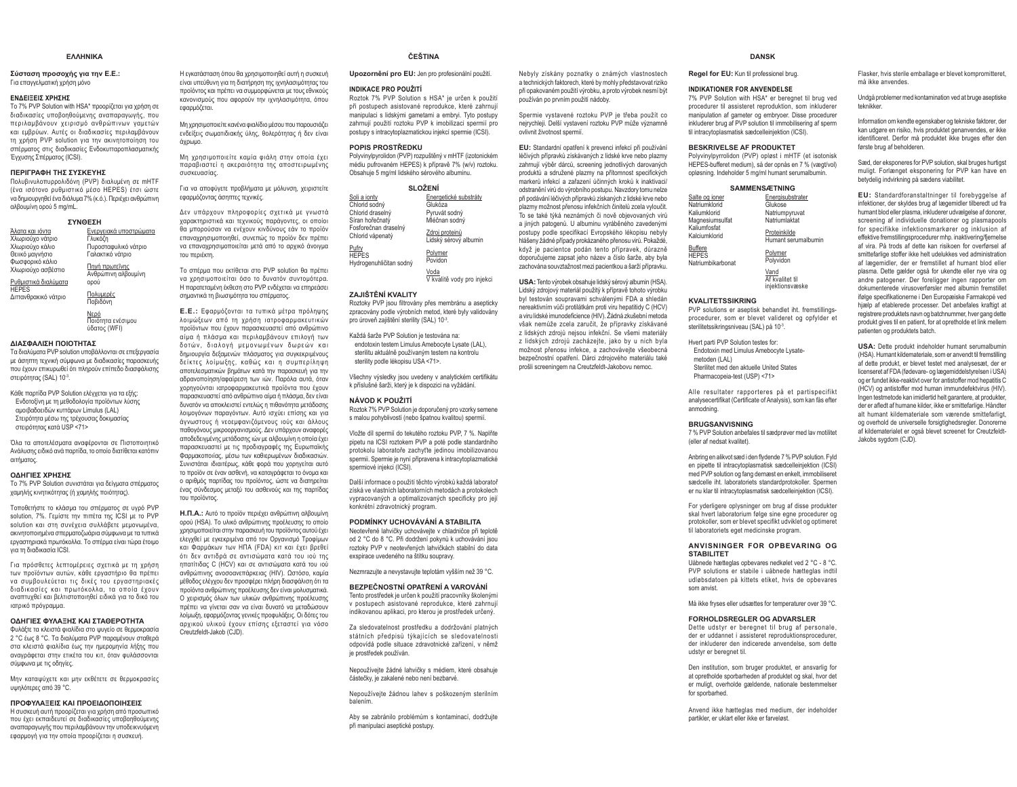#### **EAAHNIKA**

#### Σύσταση προσοχής για την Ε.Ε.: Για επαγγελματική χρήση μόνο

### **ΕΝΔΕΙΞΕΙΣ ΧΡΗΣΗΣ**

Το 7% PVP Solution with HSA\* προορίζεται για χρήση σε διαδικασίες υποβοηθούμενης αναπαραγωγής, που περιλαμβάνουν χειρισμό ανθρώπινων γαμετών και εμβρύων. Αυτές οι διαδικασίες περιλαμβάνουν In xongo PVP solution via την ακινητοποίηση του σπέρματος στις διαδικασίες Ενδοκυτταροπλασματικής Ένχυσης Σπέρματος (ICSI).

### **ȆǼȇǿīȇǹĭǾȉǾȈȈȊȈȀǼȊǾȈ**

Πολυβινυλοπυρρολιδόνη (PVP) διαλυμένη σε mHTF (ένα ισότονο ρυθμιστικό μέσο HEPES) έτσι ώστε να δημιουργηθεί ένα διάλυμα 7% (κ.ό.). Περιέχει ανθρώπινη αλβουμίνη ορού 5 mg/mL. **ȈȊȃĬǼȈǾ**

|                                                               | ZINUEZH                                       |
|---------------------------------------------------------------|-----------------------------------------------|
| Άλατα και ιόντα                                               | Ενεργειακά υποστρώματα                        |
| Χλωριούχο νάτριο                                              | Γλυκόζη                                       |
| Χλωριούχο κάλιο                                               | Πυροσταφυλικό νάτριο                          |
| Θειικό μαγνήσιο                                               | Γαλακτικό νάτριο                              |
| Φωσφορικό κάλιο<br>Χλωριούχο ασβέστιο<br>Ρυθμιστικά διαλύματα | Πηγή πρωτεΐνης<br>Ανθρώπινη αλβουμίνη<br>ορού |
| <b>HEPES</b><br>Διττανθρακικό νάτριο                          | Πολυμερές<br>Ποβιδόνη                         |
|                                                               | Νερό<br>Ποιότητα ενέσιμου<br>ύδατος (WFI)     |

#### $\Delta$ ΙΑΣΦΑΛΙΣΗ ΠΟΙΟΤΗΤΑΣ

Τα διαλύματα PVP solution υποβάλλονται σε επεξεργασία με άσηπτη τεχνική σύμφωνα με διαδικασίες παρασκευής που έχουν επικυρωθεί ότι πληρούν επίπεδο διασφάλισης στειρότητας (SAL) 10<sup>-3</sup>.

Κάθε παρτίδα PVP Solution ελέγχεται για τα εξής: Ενδοτοξίνη με τη μεθοδολογία προϊόντων λύσης <del>πιστεις, τη μεταστείας για τημειώσεια</del> Στειρότητα μέσω της τρέχουσας δοκιμασίας στειρότητας κατά USP <71>

Όλα τα αποτελέσματα αναφέρονται σε Πιστοποιητικό Aνάλυσης ειδικό ανά παρτίδα, το οποίο διατίθεται κατόπιν αιτήματος.

### **ΟΔΗΓΙΕΣ ΧΡΗΣΗΣ**

Το 7% PVP Solution συνιστάται για δείγματα σπέρματος χαμηλής κινητικότητας (ή χαμηλής ποιότητας).

Τοποθετήστε το κλάσμα του σπέρματος σε υγρό PVP solution, 7%. Γεμίστε την πιπέτα της ICSI με το PVP solution και στη συνέχεια συλλάβετε μεμονωμένα, ακινητοποιημένα σπερματοζωάρια σύμφωνα με τα τυπικά εργαστηριακά πρωτόκολλα. Το σπέρμα είναι τώρα έτοιμο νια τη διαδικασία ICSI.

Για πρόσθετες λεπτομέρειες σχετικά με τη χρήση των προϊόντων αυτών, κάθε εργαστήριο θα πρέπει να συμβουλεύεται τις δικές του εργαστηριακές διαδικασίες και πρωτόκολλα, τα οποία έχουν αναπτυχθεί και βελτιστοποιηθεί ειδικά για το δικό του ιατρικό πρόνραυμα.

#### **ΟΔΗΓΙΕΣ ΦΥΛΑΞΗΣ ΚΑΙ ΣΤΑΘΕΡΟΤΗΤΑ**

Φυλάξτε τα κλειστά φιαλίδια στο ψυγείο σε θερμοκρασία 2 °C έως 8 °C. Τα διαλύματα PVP παραμένουν σταθερά στα κλειστά φιαλίδια έως την ημερομηνία λήξης που αναγράφεται στην ετικέτα του κιτ. όταν φυλάσσονται σύμφωνα με τις οδηγίες.

Μην καταψύχετε και μην εκθέτετε σε θερμοκρασίες υψηλότερες από 39 °C.

#### **ΠΡΟΦΥΛΑΞΕΙΣ ΚΑΙ ΠΡΟΕΙΔΟΠΟΙΗΣΕΙΣ**

Η συσκευή αυτή προορίζεται για χρήση από προσωπικό που έχει εκπαιδευτεί σε διαδικασίες υποβοηθούμενης αναπαραγωγής που περιλαμβάνουν την υποδεικνυόμενη εφαρμογή για την οποία προορίζεται η συσκευή.

Η εγκατάσταση όπου θα χρησιμοποιηθεί αυτή η συσκευή είναι υπεύθυνη για τη διατήρηση της ιχνηλασιμότητας του προϊόντος και πρέπει να συμμορφώνεται με τους εθνικούς κανονισμούς που αφορούν την ιχνηλασιμότητα, όπου εφαρμόζεται

Mn χρησιμοποιείτε κανένα φιαλίδιο μέσου που παρουσιάζει ενδείξεις σωματιδιακής ύλης, θολερότητας ή δεν είναι άνοωμο

Mn χρησιμοποιείτε καμία φιάλη στην οποία έχει παραβιαστεί η ακεραιότητα της αποστειρωμένης  $\alpha$ 

Για να αποφύγετε προβλήματα με μόλυνση, χειριστείτε εφαρμόζοντας άσηπτες τεχνικές.

Δεν υπάρχουν πληροφορίες σχετικά με γνωστά χαρακτηριστικά και τεχνικούς παράγοντες, οι οποίοι θα μπορούσαν να ενέχουν κινδύνους εάν το προϊόν επαναχρησιμοποιηθεί, συνεπώς το προϊόν δεν πρέπει να επαναχρησιμοποιείται μετά από το αρχικό άνοιγμα **TOU ΠΕΡΙΈΚΤη.** 

Το σπέρμα που εκτίθεται στο PVP solution θα πρέπει ι στο προστατού του του του του του του πρότου.<br>Το τον του του του του του προστατούν συντομότερα. Η παρατεταμένη έκθεση στο PVP ενδένεται να επηρεάσει σημαντικά τη βιωσιμότητα του σπέρματος.

**Ε.Ε.**: Εφαρμόζονται τα τυπικά μέτρα πρόληψης λοιμώξεων από τη χρήση ιατροφαρμακευτικών προϊόντων που έχουν παρασκευαστεί από ανθρώπινο αίμα ή πλάσμα και περιλαμβάνουν επιλογή των δοτών, διαλογή μεμονωμένων δωρεών και δημιουργία δεξαμενών πλάσματος για συγκεκριμένους δείκτες λοίμωξης, καθώς και η συμπερίληψη σποτελεσματικών βρυάτων κατά τον παρασκευή για τον αδρανοποίηση/αφαίρεση των ιών. Παρόλα αυτά, όταν χορηνούνται ιατροφαρμακευτικά προϊόντα που έχουν παρασκευαστεί από ανθρώπινο αίμα ή πλάσμα. δεν είναι δυνατόν να αποκλειστεί εντελώς η πιθανότητα μετάδοσης λοιμονόνων παρανόντων. Αυτό ισχύει επίσης και νια άγνωστους ή νεοεμφανιζόμενους ιούς και άλλους παθογόνους μικροοργανισμούς. Δεν υπάρχουν αναφορές αποδεδειγμένης μετάδοσης ιών με αλβουμίνη η οποία έχει παρασκευαστεί με τις προδιαγραφές της Ευρωπαϊκής Φαρμακοποιίας, μέσω των καθιερωμένων διαδικασιών. Συνιστάται ιδιαιτέρως, κάθε φορά που χορηγείται αυτό το προϊόν σε έναν ασθενή, να κατανράφεται το όνομα και ο αριθμός παρτίδας του προϊόντος, ώστε να διατηρείται ένας σύνδεσμος μεταξύ του ασθενούς και της παρτίδας **IQU** προϊόντος

**Η.Π.Α.:** Αυτό το προϊόν περιέχει ανθρώπινη αλβουμίνη ορού (HSA). Το υλικό ανθρώπινης προέλευσης το οποίο χρησιμοποιείται στην παρασκευή του προϊόντος αυτού έχει ελεγχθεί με εγκεκριμένα από τον Οργανισμό Τροφίμων και Φαρμάκων των ΗΠΑ (FDA) κιτ και έχει βρεθεί ότι δεν αντιδρά σε αντισώματα κατά του ιού της ρατισμια του Ιού και σε αντισώματα κατά του ιού ανθρώπινης ανοσοανεπάρκειας (ΗΙV). Ωστόσο, καμία μέθοδος ελέγχου δεν προσφέρει πλήρη διασφάλιση ότι τα προϊόντα ανθρώπινης προέλευσης δεν είναι μολυσματικά. Ο χειρισμός όλων των υλικών ανθρώπινης προέλευσης  $\overline{m}$ λοίμωξη, εφαρμόζοντας γενικές προφυλάξεις. Οι δότες του αρχικού υλικού έχουν επίσης εξεταστεί για νόσο Creutzfeldt-Jakob (CJD).

### **ČΕŠΤΙΝΑ**

Upozornění pro EU: Jen pro profesionální použití.

#### **INDIKACE PRO POUŽITÍ**

Roztok 7% PVP Solution s HSA\* je určen k použití nři nostunech asistované reprodukce, které zahrnují manipulaci s lidskými gametami a embryi. Tyto postupy zahrnují použití roztoku PVP k imobilizaci spermií pro postupy s intracytoplazmatickou injekcí spermie (ICSI).

### **POPIS PROSTŘEDKU**

Polyvinylpyrolidon (PVP) rozpuštěný v mHTF (izotonickém médiu pufrovaném HEPES) k přípravě 7% (w/v) roztoku. Obsahuie 5 mg/ml lidského sérového albuminu.

### **61 QŽENÍ**

| Soli a ionty                                     | Energetické substráty                   |  |
|--------------------------------------------------|-----------------------------------------|--|
| Chlorid sodný                                    | Glukóza                                 |  |
| Chlorid draselný                                 | Pyruvát sodný                           |  |
| Síran hořečnatý                                  | Mléčnan sodný                           |  |
| Fosforečnan draselný<br>Chlorid vápenatý         | Zdroj proteinů<br>Lidský sérový albumin |  |
| Pufry<br><b>HEPES</b><br>Hvdrogenuhličitan sodný | Polymer<br>Povidon                      |  |
|                                                  | Voda<br>V kvalitě vody pro injekci      |  |

#### **ZAJIŠTĚNÍ KVALITY**

Roztoky PVP jsou filtrovány přes membránu a asepticky zpracovány podle výrobních metod, které byly validovány pro úroveň zajištění sterility (SAL) 10-3.

Každá šarže PVP Solution je testována na: endotoxin testem Limulus Amebocyte Lysate (LAL), eterilitu aktuálně noužívaným testem na kontrolu sterility podle lékopisu USA <71>.

Všechny výsledky jsou uvedeny v analytickém certifikátu k příslušné šarži, který je k dispozici na vyžádání.

#### **NÁVOD K POUŽITÍ**

Roztok 7% PVP Solution je doporučený pro vzorky semene s malou pohyblivostí (nebo špatnou kvalitou) spermií.

Vložte díl spermií do tekutého roztoku PVP. 7 %. Naplňte pipetu na ICSI roztokem PVP a poté podle standardního protokolu laboratoře zachyťte jedinou imobilizovanou spermii. Spermie je nyní připravena k intracytoplazmatické spermiové injekci (ICSI).

Další informace o použití těchto výrobků každá laboratoř získá ve vlastních laboratorních metodách a protokolech vvoracovaných a optimalizovaných specificky pro její konkrétní zdravotnický program.

#### **PODMÍNKY UCHOVÁVÁNÍ A STABILITA**

Neotevřené lahvičky uchovávejte v chladničce při teplotě nd 2 °C do 8 °C. Při dodržení pokvnů k uchovávání isou roztoky PVP v neotevřených lahvičkách stabilní do data exspirace uvedeného na štítku soupravy.

Nezmrazujte a nevystavujte teplotám vyšším než 39 °C.

#### **BEZPEČNOSTNÍ OPATŘENÍ A VAROVÁNÍ**

Tento prostředek je určen k použití pracovníky školenými v postupech asistované reprodukce, které zahrnují indikovanou aplikaci, pro kterou je prostředek určený.

Za sledovatelnost prostředku a dodržování platných státních předpisů týkajících se sledovatelnosti RGSRYTGI SPORTAGE ZDRAGOVALICKÁ ZAČIZALÍ V DŘEDÝ ie prostředek používán.

Nepoužívejte žádné lahvičky s médiem, které obsahuje částečky, je zakalené nebo není bezbarvé.

Nepoužívejte žádnou lahev s poškozeným sterilním balením.

Aby se zabránilo problémům s kontaminací, dodržujte při manipulaci aseptické postupy.

#### **DANSK**

**Regel for EU:** Kun til professionel brug.

#### **INDIKATIONER FOR ANVENDELSE**

Nebyly získány poznatky o známých vlastnostech a technických faktorech, které by mohly představovat riziko při opakovaném použití výrobku, a proto výrobek nesmí být

Spermie vystavené roztoku PVP je třeba použít co neirychleji. Delší vystavení roztoku PVP může významně

EU: Standardní opatření k prevenci infekcí při používání léčivých přípravků získávaných z lidské krve nebo plazmy zahrnují výběr dárců, screening jednotlivých darovaných produktů a sdružené plazmy na přítomnost specifických markerů infekcí a zařazení účinných kroků k inaktivaci/ odstranění virů do výrobního postupu. Navzdory tomu nelze při podávání léčivých přípravků získaných z lidské krve nebo .<br>plazmy možnost přenosu infekčních činitelů zcela vyloučit. To se také týká neznámých či nově objevovaných virů a jiných natogenů. U albuminu vyráběného zavedenými postupy podle specifikací Evropského lékopisu nebyly hlášeny žádné případy prokázaného přenosu virů. Pokaždé, když je pacientce podán tento přípravek, důrazně doporučujeme zapsat jeho název a číslo šarže, aby byla zachována souvztažnost mezi pacientkou a šarží přípravku. **USA:** Tento výmbek obsahuje lidský sérový albumin (HSA) Lidský zdrojový materiál použitý k přípravě tohoto výrobku byl testován soupravami schválenými FDA a shledán nereaktivním vůči protilátkám proti viru hepatitidy C (HCV) a viru lidské imunodeficience (HIV), Žádná zkušební metoda však nemůže zcela zaručit, že nřípravky získávané z lidských zdrojů nejsou infekční. Se všemi materiály z lidských zdrojů zacházejte, jako by u nich byla možnost přenosu infekce, a zachovávejte všeobecná beznečnostní opatření. Dárci zdrojového materiálu také prošli screeningem na Creutzfeldt-Jakobovu nemoc.

používán po prvním použití nádoby.

ovlivnit životnost spermií.

 7% PVP Solution with HSA\* er beregnet til brug ved procedurer til assisteret reproduktion, som inkluderer manipulation af gameter og embryoer. Disse procedurer inkluderer brug af PVP solution til immobilisering af sperm til intracytoplasmatisk sædcelleinjektion (ICSI).

#### **BESKRIVELSE AF PRODUKTET**

 Polyvinylpyrrolidon (PVP) opløst i mHTF (et isotonisk HEPES-bufferet medium), så der opnås en 7 % (vægt/vol) opløsning. Indeholder 5 mg/ml humant serumalbumin.

### **SAMMENSÆTNING**

| Salte og ioner                               | Energisubstrater                           |
|----------------------------------------------|--------------------------------------------|
| Natriumklorid                                | Glukose                                    |
| Kaliumklorid<br>Magnesiumsulfat              | Natriumpyruvat<br>Natriumlaktat            |
| Kaliumfosfat<br>Kalciumklorid                | Proteinkilde<br>Humant serumalbumin        |
| Buffere<br><b>HEPES</b><br>Natriumbikarbonat | Polymer<br>Polyvidon                       |
|                                              | Vand<br>Af kvalitet til<br>injektionsvæske |

#### **KVALITETSSIKRING**

 PVP solutions er aseptisk behandlet iht. fremstillingsprocedurer, som er blevet valideret og opfylder et sterilitetssikringsniveau (SAL) på 10-3.

Hvert parti PVP Solution testes for: Endotoxin med Limulus Amebocyte Lysatemetoden (LAL) Sterilitet med den aktuelle United States Pharmacopeia-test (USP) <71>

Alle resultater rapporteres på et partispecifikt analysecertifikat (Certificate of Analysis), som kan fås efter anmodning.

### **BRUGSANVISNING**

 7 % PVP Solution anbefales til sædprøver med lav motilitet (eller af nedsat kvalitet).

Anbring en alikvot sæd i den flydende 7 % PVP solution. Fyld en pipette til intracytoplasmatisk sædcelleinjektion (ICSI) med PVP solution og fang dernæst en enkelt, immobiliseret sædcelle iht. laboratoriets standardprotokoller. Spermen er nu klar til intracytoplasmatisk sædcelleiniektion (ICSI).

For yderligere oplysninger om brug af disse produkter skal hvert laboratorium følge sine egne procedurer og protokoller, som er blevet specifikt udviklet og optimeret til laboratoriets eget medicinske program.

#### **ANVISNINGER FOR OPBEVARING OG STABILITET**

 Uåbnede hætteglas opbevares nedkølet ved 2 °C - 8 °C. PVP solutions er stabile i uåbnede hætteglas indtil udløbsdatoen på kittets etiket, hvis de opbevares som anvist.

Må ikke fryses eller udsættes for temperaturer over 39 °C.

#### **FORHOLDSREGLER OG ADVARSLER**

 Dette udstyr er beregnet til brug af personale, der er uddannet i assisteret reproduktionsprocedurer, der inkluderer den indicerede anvendelse, som dette udstyr er beregnet til.

Den institution, som bruger produktet, er ansvarlig for at opretholde sporbarheden af produktet og skal, hvor det er muligt, overholde gældende, nationale bestemmelser for sporbarhed.

Anvend ikke hætteglas med medium, der indeholder partikler, er uklart eller ikke er farveløst.

Flasker, hvis sterile emballage er blevet kompromitteret, må ikke anvendes.

Undgå problemer med kontamination ved at bruge aseptiske teknikker.

Information om kendte egenskaber og tekniske faktorer, der kan udgøre en risiko, hvis produktet genanvendes, er ikke identificeret. Derfor må produktet ikke bruges efter den første brug af beholderen.

Sæd, der eksponeres for PVP solution, skal bruges hurtigst muligt. Forlænget eksponering for PVP kan have en betydelig indvirkning på sædens viabilitet.

**EU:** Standardforanstaltninger til forebyggelse af infektioner, der skyldes brug af lægemidler tilberedt ud fra humant blod eller plasma, inkluderer udvælgelse af donorer, screening af individuelle donationer og plasmapools for specifikke infektionsmarkører og inklusion af effektive fremstillingsprocedurer mhp. inaktivering/fiernelse af vira. På trods af dette kan risikoen for overførsel af smittefarlige stoffer ikke helt udelukkes ved administration af lægemidler, der er fremstillet af humant blod eller plasma. Dette gælder også for ukendte eller nye vira og andre patogener. Der foreligger ingen rapporter om dokumenterede virusoverførsler med albumin fremstillet ifølge specifikationerne i Den Europæiske Farmakopé ved higain af etablerede nrocesser. Det anhefales kraftigt at registrere produktets navn og batchnummer, hver gang dette produkt gives til en patient, for at opretholde et link mellem patienten og produktets batch.

**USA:** Dette produkt indeholder humant serumalbumin (HSA). Humant kildemateriale, som er anvendt til fremstilling af dette produkt, er blevet testet med analysesæt, der er licenseret af FDA (fødevare- og lægemiddelstyrelsen i USA) og er fundet ikke-reaktivt over for antistoffer mod hepatitis C (HCV) og antistoffer mod human immundefektvirus (HIV). Ingen testmetode kan imidlertid helt garantere, at produkter, der er afledt af humane kilder, ikke er smittefarlige. Håndter alt humant kildemateriale som værende smittefarligt, og overhold de universelle forsigtighedsregler. Donorerne af kildematerialet er også blevet screenet for Creutzfeldt-Jakobs sygdom (CJD).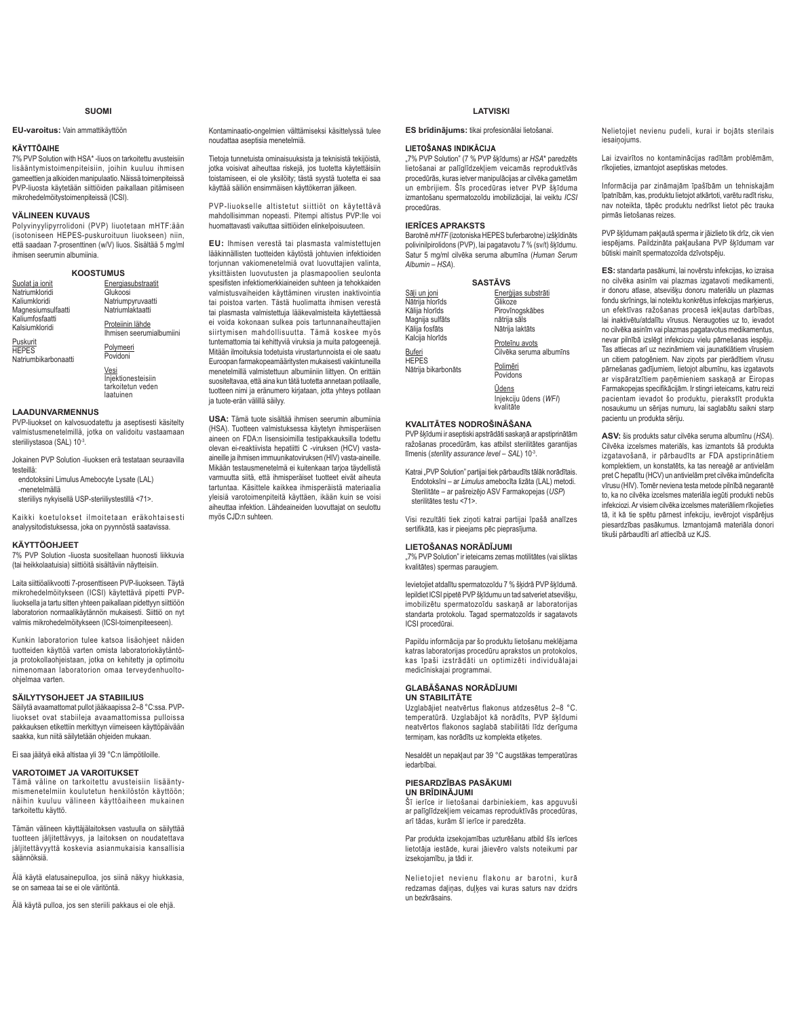### **SUOMI**

### **EU-varoitus:** Vain ammattikäyttöön

#### **KÄYTTÖAIHE**

7% PVP Solution with HSA\* -liuos on tarkoitettu avusteisiin lisääntymistoimenpiteisiin, joihin kuuluu ihmisen gameettien ja alkioiden manipulaatio. Näissä toimenpiteissä<br>PVP-liuosta käytetään siittiöiden paikallaan pitämiseen mikrohedelmöitystoimenpiteissä (ICSI).

### **VÄLINEEN KUVAUS**

Polyvinyylipyrrolidoni (PVP) liuotetaan mHTF:ään (isotoniseen HEPES-puskuroituun liuokseen) niin, että saadaan 7-prosenttinen (w/V) liuos. Sisältää 5 mg/ml ihmisen seerumin albumiinia.

| <b>KOOSTUMUS</b>                  |                                              |  |
|-----------------------------------|----------------------------------------------|--|
| Suolat ja ionit                   | Energiasubstraatit                           |  |
| Natriumkloridi                    | Glukoosi                                     |  |
| Kaliumkloridi                     | Natriumpyruvaatti                            |  |
| Magnesiumsulfaatti                | Natriumlaktaatti                             |  |
| Kaliumfosfaatti<br>Kalsiumkloridi | Proteiinin lähde<br>Ihmisen seerumialbumiini |  |

Puskurit HEPES Natriumbikarbonaatti Polymeeri<br>Povidoni

Vesi Iniektionesteisiin tarkoitetun veden laatuinen

#### **LAADUNVARMENNUS**

PVP-liuokset on kalvosuodatettu ja aseptisesti käsitelty valmistusmenetelmillä, jotka on validoitu vastaamaan steriiliystasoa (SAL) 10-3.

Jokainen PVP Solution -liuoksen erä testataan seuraavilla testeillä:

endotoksiini Limulus Amebocyte Lysate (LAL) -menetelmällä

steriiliys nykyisellä USP-steriiliystestillä <71>.

Kaikki koetulokset ilmoitetaan eräkohtaisesti analyysitodistuksessa, joka on pyynnöstä saatavissa.

### **KÄYTTÖOHJEET**

7% PVP Solution -liuosta suositellaan huonosti liikkuvia (tai heikkolaatuisia) siittiöitä sisältäviin näytteisiin.

Laita siittiöalikvootti 7-prosenttiseen PVP-liuokseen. Täytä mikrohedelmöitykseen (ICSI) käytettävä pipetti PVPliuoksella ja tartu sitten yhteen paikallaan pidettyyn siittiöön laboratorion normaalikäytännön mukaisesti. Siittiö on nyt valmis mikrohedelmöitykseen (ICSI-toimenpiteeseen).

Kunkin laboratorion tulee katsoa lisäohjeet näiden tuotteiden käyttöä varten omista laboratoriokäytäntöja protokollaohjeistaan, jotka on kehitetty ja optimoitu nimenomaan laboratorion omaa terveydenhuoltoohielmaa varten.

### **SÄILYTYSOHJEET JA STABIILIUS**

Säilytä avaamattomat pullot jääkaapissa 2-8 °C:ssa. PVPliuokset ovat stabiileja avaamattomissa pulloissa pakkauksen etikettiin merkittyyn viimeiseen käyttöpäivään saakka, kun niitä säilytetään ohjeiden mukaan.

Ei saa jäätyä eikä altistaa yli 39 °C:n lämpötiloille.

#### **VAROTOIMET JA VAROITUKSET**

Tämä väline on tarkoitettu avusteisiin lisääntymismenetelmiin koulutetun henkilöstön käyttöön; näihin kuuluu välineen käyttöaiheen mukainen tarkoitettu käyttö.

Tämän välineen käyttäjälaitoksen vastuulla on säilyttää tuotteen jäljitettävyys, ja laitoksen on noudatettava jäljitettävyyttä koskevia asianmukaisia kansallisia säännöksiä.

Älä käytä elatusainepulloa, jos siinä näkyy hiukkasia, se on sameaa tai se ei ole väritöntä.

Älä käytä pulloa, jos sen steriili pakkaus ei ole ehjä.

Kontaminaatio-ongelmien välttämiseksi käsittelyssä tulee noudattaa aseptisia menetelmiä.

Tietoja tunnetuista ominaisuuksista ja teknisistä tekijöistä, jotka voisivat aiheuttaa riskejä, jos tuotetta käytettäisiin toistamiseen, ei ole yksilöity; tästä syystä tuotetta ei saa kävttää säiliön ensimmäisen käyttökerran jälkeen.

PVP-liuokselle altistetut siittiöt on käytettävä mahdollisimman nopeasti. Pitempi altistus PVP:lle voi huomattavasti vaikuttaa siittiöiden elinkelpoisuuteen.

EU: Ihmisen verestä tai plasmasta valmistettujen lääkinnällisten tuotteiden käytöstä johtuvien infektioiden toriunnan vakiomenetelmiä ovat luovuttaiien valinta. yksittäisten luovutusten ja plasmapoolien seulonta spesifisten infektiomerkkiaineiden suhteen ia tehokkaiden valmistusvaiheiden käyttäminen virusten inaktivointia tai poistoa varten. Tästä huolimatta ihmisen verestä tai plasmasta valmistettuja lääkevalmisteita käytettäessä ei voida kokonaan sulkea pois tartunnanaiheuttajien siirtymisen mahdollisuutta. Tämä koskee myös tuntemattomia tai kehittyviä viruksia ja muita patogeenejä. Mitään ilmoituksia todetuista virustartunnoista ei ole saatu Euroopan farmakopeamääritysten mukaisesti vakiintuneilla menetelmillä valmistettuun albumiiniin liittyen. On erittäin suositeltavaa, että aina kun tätä tuotetta annetaan potilaalle, tuotteen nimi ja eränumero kirjataan, jotta yhteys potilaan ja tuote-erän välillä säilyy.

**USA:** Tämä tuote sisältää ihmisen seerumin albumiinia (HSA). Tuotteen valmistuksessa käytetyn ihmisperäisen aineen on FDA:n lisensioimilla testipakkauksilla todettu olevan ei-reaktiivista hepatiitti C -viruksen (HCV) vastaaineille ja ihmisen immuunikatoviruksen (HIV) vasta-aineille. Mikään testausmenetelmä ei kuitenkaan tarjoa täydellistä varmuutta siitä, että ihmisperäiset tuotteet eivät aiheuta tartuntaa. Käsittele kaikkea ihmisperäistä materiaalia yleisiä varotoimenpiteitä käyttäen, ikään kuin se voisi aiheuttaa infektion. Lähdeaineiden luovuttajat on seulottu myös CJD:n suhteen.

### **LATVISKI**

**ES brīdinājums:** tikai profesionālai lietošanai.

### **LIETOŠANAS INDIKĀCIJA**

"7% PVP Solution" (7 % PVP šķīdums) ar HSA\* paredzēts lietošanai ar palīglīdzekļiem veicamās reproduktīvās procedūrās, kuras ietver manipulācijas ar cilvēka gametām un embrijiem. Šīs procedūras ietver PVP škīduma izmantošanu spermatozoīdu imobilizācijai, lai veiktu ICSI procedūras

### *IERICES APRAKSTS*

Barotnē *mHTF* (izotoniska HEPES buferbarotne) izškīdināts polivinilpirolidons (PVP), lai pagatavotu 7 % (sv/t) šķīdumu. .<br>Satur 5 mg/ml cilvēka seruma albumīna (Human Serum *Albumin* – *HSA*).

| <b>SASTĀVS</b>      |                                             |  |
|---------------------|---------------------------------------------|--|
| Sāli un ioni        | Enerģijas substrāti                         |  |
| Nātrija hlorīds     | Glikoze                                     |  |
| Kālija hlorīds      | Pirovīnogskābes                             |  |
| Magnija sulfāts     | nātrija sāls                                |  |
| Kālija fosfāts      | Nātrija laktāts                             |  |
| Kalcija hlorīds     | Proteīnu avots                              |  |
| Buferi              | Cilvēka seruma albumīns                     |  |
| <b>HEPES</b>        | Polimēri                                    |  |
| Nātrija bikarbonāts | Povidons                                    |  |
|                     | Ūdens<br>Injekciju ūdens (WFI)<br>kvalitāte |  |

### **KVALITĀTES NODROŠINĀŠANA**

PVP šķīdumi ir aseptiski apstrādāti saskaņā ar apstiprinātām ražošanas procedūrām, kas atbilst sterilitātes garantijas līmenis (sterility assurance level – SAL) 10<sup>-3</sup>.

Katrai "PVP Solution" partijai tiek pārbaudīts tālāk norādītais. endotoksīni - ar Limulus amebocīta lizāta (LAL) metodi. Sterilitāte – ar pašreizējo ASV Farmakopejas (USP) sterilitātes testu <71>.

Visi rezultāti tiek zinoti katrai partijai īpašā analīzes sertifikātā, kas ir pieejams pēc pieprasījuma.

### LIETOŠANAS NORĀDĪJUMI

"7% PVP Solution" ir ieteicams zemas motilitātes (vai sliktas kvalitātes) spermas paraugiem.

levietojiet atdalītu snermatozoīdu 7 % šķidrā PVP šķīdumā lepildiet ICSI pipetē PVP škīdumu un tad satveriet atsevišku, imobilizētu spermatozoīdu saskanā ar laboratorijas standarta protokolu. Tagad spermatozoīds ir sagatavots ICSI procedūrai.

Papildu informācija par šo produktu lietošanu meklējama North Music Controller procedurul aprakstos un protokolos, kas īpaši izstrādāti un optimizēti individuālajai medicīniskajai programmai.

### $GLAB\overline{A}\$  ANAS NORĀDĪJUMI **UN STABILITĀTE**

Uzglabājiet neatvērtus flakonus atdzesētus 2-8 °C. temperatūrā. Uzglabājot kā norādīts, PVP šķīdumi reativeries degradas in the metallity, it is equal to the neature of the metallity of the metallity of the metallity of the metallity of the metallity of the metallity of the metallity of the metallity of the metallity of wattertee maneries eaglase etasintati na

Nesaldēt un nepakļaut par 39 °C augstākas temperatūras iedarhīhai

#### **PIESARDZĪBAS PASĀKUMI UN BRĪDINĀJUMI**

šī ierīce ir lietošanai darbiniekiem, kas apguvuši ar palīglīdzekļiem veicamas reproduktīvās procedūras, arī tādas, kurām šī ierīce ir paredzēta.

Par nrodukta izsekojamības uzturēšanu atbild šīs ierīces lietotāja iestāde, kurai jāievēro valsts noteikumi par izsekojamību, ja tādi ir.

Nelietojiet nevienu flakonu ar barotni, kurā redzamas daļiņas, duļķes vai kuras saturs nav dzidrs un bezkrāsains

Nelietoijet nevienu pudeli, kurai ir bojāts sterilais iesainoiums

Lai izvairītos no kontaminācijas radītām problēmām. rīkojieties, izmantojot asentiskas metodes

Informācija par zināmajām īpašībām un tehniskajām Tpatnībām, kas. produktu lietojot atkārtoti, varētu radīt risku. nav noteikta, tāpēc produktu nedrīkst lietot pēc trauka pirmās lietošanas reizes.

PVP šķīdumam pakļautā sperma ir jāizlieto tik drīz, cik vien iespējams. Paildzināta pakļaušana PVP šķīdumam var būtiski mainīt spermatozoīda dzīvotspēju.

ES: standarta pasākumi, lai novērstu infekcijas, ko izraisa no cilvēka asinīm vai plazmas izgatavoti medikamenti, ir donoru atlase, atsevišķu donoru materiālu un plazmas fondu skrīnings, lai noteiktu konkrētus infekcijas markierus. un efektīvas ražošanas procesā iekļautas darbības, lai inaktivētu/atdalītu vīrusus. Neraugoties uz to ievadot no cilvēka asinīm vai plazmas pagatavotus medikamentus, nevar pilnībā izslēgt infekciozu vielu pārnešanas iespēju. Tas attiecas arī uz nezināmiem vai jaunatklātiem vīrusiem un citiem patogēniem. Nav ziņots par pierādītiem vīrusu pārnešanas gadījumiem, lietojot albumīnu, kas izgatavots ar vispāratzītiem paņēmieniem saskaņā ar Eiropas Farmakopejas specifikācijām. Ir stingri ieteicams, katru reizi pacientam ievadot šo produktu, pierakstīt produkta nosaukumu un sērijas numuru. Iai saglabātu saikni starp pacientu un produkta sēriju.

ASV: šis produkts satur cilvēka seruma albumīnu (HSA). Cilvēka izcelsmes materiāls, kas izmantots šā produkta izgatavošanā, ir pārbaudīts ar FDA apstiprinātiem komplektiem, un konstatēts, ka tas nereaģē ar antivielām pret C hepatītu (HCV) un antivielām pret cilvēka imūndeficīta vīrusu (HIV). Tomēr neviena testa metode pilnībā negarantē to, ka no cilvēka izcelsmes materiāla iegūti produkti nebūs infekciozi. Ar visiem cilvēka izcelsmes materiāliem rīkojieties tā, it kā tie spētu pārnest infekciju, ievērojot vispārējus piesardzības pasākumus. Izmantojamā materiāla donori tikuši pārbaudīti arī attiecībā uz KJS.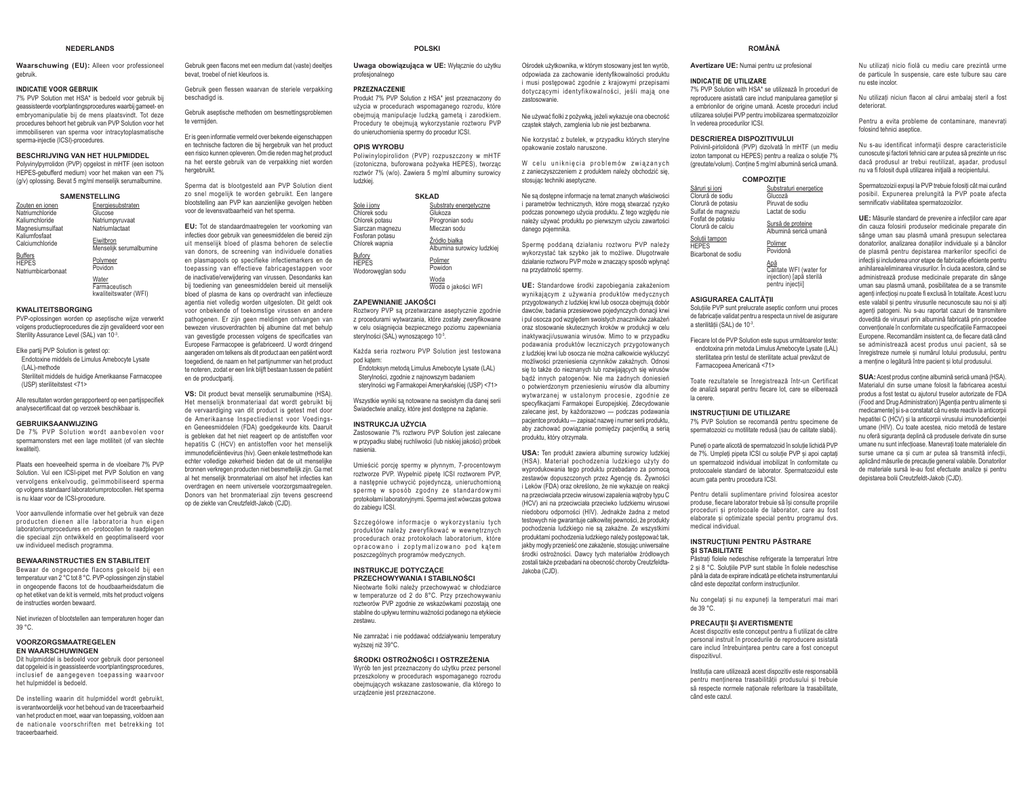#### **NEDERLANDS**

**Waarschuwing (EU):** Alleen voor professioneel gebruik.

#### **INDICATIE VOOR GEBRUIK**

7% PVP Solution met HSA\* is bedoeld voor gebruik bij deassisteerde voortolantingsprocedures waarbij gameet- en embryomanipulatie bij de mens plaatsvindt. Tot deze procedures behoort het gebruik van PVP Solution voor het immobiliseren van sperma voor intracytoplasmatische snerma-injectie (ICSI)-procedures

#### **BESCHRIJVING VAN HET HULPMIDDEL**

 Polyvinylpyrrolidon (PVP) opgelost in mHTF (een isotoon HEPES-gebufferd medium) voor het maken van een 7%  $(q/v)$  oplossing. Bevat 5 mg/ml menselijk serumalbumine.

| <b>SAMENSTELLING</b>                                 |                                      |
|------------------------------------------------------|--------------------------------------|
| Zouten en ionen                                      | Energiesubstraten                    |
| Natriumchloride                                      | Glucose                              |
| Kaliumchloride                                       | Natriumpyruvaat                      |
| Magnesiumsulfaat                                     | Natriumlactaat                       |
| Kaliumfosfaat<br>Calciumchloride                     | Eiwitbron<br>Menselijk serumalbumine |
| <b>Buffers</b><br><b>HEPES</b><br>Natriumbicarbonaat | Polymeer<br>Povidon                  |

Water Farmaceutisch kwaliteitswater (WFI)

#### **KWALITEITSBORGING**

PVP-oplossingen worden op aseptische wijze verwerkt volgens productieprocedures die zijn gevalideerd voor een Sterility Assurance Level (SAL) van 10-3.

Elke partij PVP Solution is getest op: Endotoxine middels de Limulus Amebocyte Lysate (LAL)-methode Steriliteit middels de huidige Amerikaanse Farmacopee (USP) steriliteitstest <71>

Alle resultaten worden gerapporteerd op een partijspecifiek analysecertificaat dat op verzoek beschikbaar is.

#### **GEBRUIKSAANWIJZING**

 De 7% PVP Solution wordt aanbevolen voor spermamonsters met een lage motiliteit (of van slechte kwaliteit).

Plaats een hoeveelheid sperma in de vloeibare 7% PVP Solution. Vul een ICSI-pipet met PVP Solution en vang vervolgens enkelvoudig, geïmmobiliseerd sperma op volgens standaard laboratoriumprotocollen. Het sperma is nu klaar voor de ICSI-procedure.

Voor aanvullende informatie over het gebruik van deze producten dienen alle laboratoria hun eigen laboratoriumprocedures en -protocollen te raadplegen die speciaal zijn ontwikkeld en geoptimaliseerd voor uw individueel medisch programma.

#### **BEWAARINSTRUCTIES EN STABILITEIT**

Bewaar de ongeopende flacons gekoeld bij een temperatuur van 2 °C tot 8 °C. PVP-oplossingen zijn stabiel in ongeopende flacons tot de houdbaarheidsdatum die op het etiket van de kit is vermeld, mits het product volgens de instructies worden bewaard.

Niet invriezen of blootstellen aan temperaturen hoger dan 39 °C.

#### **VOORZORGSMAATREGELEN EN WAARSCHUWINGEN**

 Dit hulpmiddel is bedoeld voor gebruik door personeel dat opgeleid is in geassisteerde voortplantingsprocedures, inclusief de aangegeven toepassing waarvoor het hulpmiddel is bedoeld.

De instelling waarin dit hulpmiddel wordt gebruikt, is verantwoordelijk voor het hehoud van de traceerhaarheid van het product en moet, waar van toepassing, voldoen aan de nationale voorschriften met betrekking tot traceerbaarheid.

Gebruik geen flacons met een medium dat (vaste) deeltjes bevat, troebel of niet kleurloos is.

Gebruik geen flessen waarvan de steriele verpakking beschadigd is.

Gebruik aseptische methoden om besmettingsproblemen te vermiiden

Er is geen informatie vermeld over bekende eigenschappen en technische factoren die bij hergebruik van het product een risico kunnen opleveren. Om die reden mag het product na het eerste gebruik van de verpakking niet worden hergebruikt

Sperma dat is blootgesteld aan PVP Solution dient zo snel mogelijk te worden gebruikt. Een langere blootstelling aan PVP kan aanzienlijke gevolgen hebben voor de levensvatbaarheid van het sperma.

**EU:** Tot de standaardmaatregelen ter voorkoming van infecties door gehruik van geneesmiddelen die hereid zijn uit menselijk bloed of plasma behoren de selectie van donors, de screening van individuele donaties en plasmapools op specifieke infectiemarkers en de toepassing van effectieve fabricagestappen voor de inactivatie/verwiidering van virussen. Desondanks kan bij toediening van geneesmiddelen bereid uit menselijk bloed of plasma de kans op overdracht van infectieuze agentia niet volledig worden uitgesloten. Dit geldt ook voor onbekende of toekomstige virussen en andere pathogenen. Er zijn geen meldingen ontvangen van bewezen virusoverdrachten bij albumine dat met behulp van gevestigde processen volgens de specificaties van Europese Farmacopee is gefabriceerd. U wordt dringend aangeraden om telkens als dit product aan een patiënt wordt toegediend, de naam en het partijnummer van het product te noteren, zodat er een link blijft bestaan tussen de natiënt en de productoartii.

VS: Dit product bevat menselijk serumalbumine (HSA). Het menselijk bronmateriaal dat wordt gebruikt bij de vervaardiging van dit product is getest met door de Amerikaanse Inspectiedienst voor Voedingsen Geneesmiddelen (FDA) goedgekeurde kits. Daaruit is gebleken dat het niet reageert op de antistoffen voor hepatitis C (HCV) en antistoffen voor het menselijk immunodeficiëntievirus (hiv). Geen enkele testmethode kan echter volledige zekerheid bieden dat de uit menselijke bronnen verkregen producten niet besmettelijk zijn. Ga met al het menselijk bronmateriaal om alsof het infecties kan overdragen en neem universele voorzorgsmaatregelen. Donors van het bronmateriaal zijn tevens gescreend op de ziekte van Creutzfeldt-Jakob (CJD).

**POLSKI**

#### Uwaga obowiązująca w UE: Wyłącznie do użytku profesjonalnego

#### **PRZEZNACZENIE**

Produkt 7% PVP Solution z HSA\* jest przeznaczony do użycia w procedurach wspomaganego rozrodu, które obejmują manipulacje ludzką gametą i zarodkiem. Procedury te obejmuja wykorzystanie roztworu PVP do unieruchomienia spermy do procedur ICSI.

#### **OPIS WYROBU**

 Poliwinylopirolidon (PVP) rozpuszczony w mHTF Lizotoniczna, buforowana pożywka HEPES), tworząc roztwór 7% (w/o). Zawiera 5 mg/ml albuminy surowicy ludzkiei

| <b>SKŁAD</b>                                |                                             |  |
|---------------------------------------------|---------------------------------------------|--|
| Sole i jony<br>Chlorek sodu                 | Substraty energetyczne<br>Glukoza           |  |
| Chlorek potasu                              | Pirogronian sodu                            |  |
| Siarczan magnezu                            | Mleczan sodu                                |  |
| Fosforan potasu<br>Chlorek wapnia           | Źródło białka<br>Albumina surowicy ludzkiej |  |
| Bufory<br><b>HEPES</b><br>Wodoroweglan sodu | Polimer<br>Powidon                          |  |
|                                             | Woda                                        |  |

<u>Woda</u><br>Woda o jakości WFI

### **ZAPEWNIANIE JAKOŚCI**

Roztwory PVP są przetwarzane aseptycznie zgodnie z procedurami wytwarzania, które zostały zweryfikowane w celu osiągnięcia bezpiecznego poziomu zapewniania sterylności (SAL) wynoszącego 10<sup>-3</sup>.

Każda seria roztworu PVP Solution jest testowana pod katem:

Fodotoksyn metoda Limulus Amebocyte Lysate (LAL) Sterylności, zgodnie z najnowszym badaniem sterylności wg Farmakopei Amerykańskiej (USP) <71>

Wszystkie wyniki sa notowane na swoistym dla danei serii Świądectwie analizy, które jest dostepne na żadanie.

#### **INSTRUKCJA UŻYCIA**

Zastosowanie 7% roztworu PVP Solution jest zalecane w przypadku słabej ruchliwości (lub niskiej jakości) próbek nasienia.

Umieścić porcie spermy w płynnym. 7-procentowym roztworze PVP. Wypełnić pipetę ICSI roztworem PVP, a następnie uchwycić pojedynczą, unieruchomioną sperme w sposób zgodny ze standardowymi protokołami laboratoryjnymi. Sperma jest wówczas gotowa do zabiegu ICSI.

Szczegółowe informacie o wykorzystaniu tych produktów należy zweryfikować w wewnetrznych procedurach oraz protokołach laboratorium, które opracowano i zoptymalizowano pod kątem poszczególnych programów medycznych.

### **INSTRUKCJE DOTYCZACE PRZECHOWYWANIA I STABILNOŚCI**

Nieotwarte fiolki należy przechowywać w chłodziarce w temperaturze od 2 do 8°C. Przy przechowywaniu roztworów PVP zgodnie ze wskazówkami pozostają one stabilne do upływu terminu ważności podanego na etykiecie zestawu.

Nie zamrażać i nie poddawać oddziaływaniu temperatury wyższej niż 39°C.

#### ŚRODKI OSTROŻNOŚCI I OSTRZEŻENIA

Wyrób ten jest przeznaczony do użytku przez personel przeszkolony w procedurach wspomaganego rozrodu obejmujących wskazane zastosowanie, dla którego to urządzenie jest przeznaczone.

Ośrodek użytkownika, w którym stosowany jest ten wyrób, odpowiada za zachowanie identyfikowalności produktu i musi nostenować zgodnie z krajowymi przenisami dotyczącymi identyfikowalności, jeśli mają one zastosowanie.

Nie używać fiolki z pożywka, jeżeli wykazuje ona obecność czastek stałych, zamolenia lub nie jest bezharwna

Nie korzystać z butelek, w przypadku których sterylne onakowanie zostało naruszone

W celu unikniecia problemów zwiazanych z zanieczyszczeniem z produktem należy obchodzić się stosując techniki aseptyczne.

Nie są dostępne informacje na temat znanych właściwości i parametrów technicznych, które mogą stwarzać ryzyko podczas ponownego użycia produktu. Z tego względu nie należy używać produktu po pierwszym użyciu zawartości danego pojemnika.

Spermę poddaną działaniu roztworu PVP należy wykorzystać tak szybko jak to możliwe. Długotrwałe działanie roztworu PVP może w znaczący sposób wpłynąć na przydatność spermy

**UE:** Standardowe środki zapobiegania zakażeniom wynikającym z używania produktów medycznych przygotowanych z ludzkiej krwi lub osoczą obejmują dobór .<br>dawców, badania przesięwowe pojedynczych donacji krwi i pul osocza pod względem swoistych znaczników zakażeń oraz stosowanie skutecznych kroków w produkcji w celu inaktywacji/usuwania wirusów. Mimo to w przypadku podawania produktów leczniczych przygotowanych z ludzkiej krwi lub osocza nie można całkowicie wykluczyć możliwości przeniesienia czynników zakaźnych. Odnosi sie to także do nieznanych lub rozwijających się wirusów badź innych patogenów. Nie ma żadnych doniesień o potwierdzonym przeniesieniu wirusów dla albuminy wytwarzanej w ustalonym procesie, zgodnie ze specyfikacjami Farmakopei Europejskiej. Zdecydowanie zalecane jest, by każdorazowo - podczas podawania nacientce produktu — zanisać nazwe i numer serij produktu aby zachować powiązanie pomiędzy pacjentką a serią produktu. który otrzymała.

**USA:** Ten produkt zawiera albumine surowicy ludzkiej (HSA). Materiał pochodzenia ludzkiego użyty do wyprodukowania tego produktu przebadano za pomoca zestawów dopuszczonych przez Agencję ds. Żywności Leków (FDA) oraz określono, że nie wykazuje on reakcji na przeciwciała przeciw wirusowi zapalenia watroby typu C (HCV) ani na przeciwciała przeciwko ludzkiemu wirusowi niedoboru odporności (HIV). Jednakże żadna z metod whyth nie gwarantuje całkowitej newności że produkty pochodzenia ludzkiego nie są zakaźne. Ze wszystkimi produktami pochodzenia ludzkiego należy postępować tak, jakby mogły przenieść one zakażenie, stosując uniwersalne ,<br>środki ostrożności. Dawcy tych materiałów źródłowych zostali także przebadani na obecność choroby Creutzfeldta-Jakoba (CJD).

**ROMÂNĂ** 

**Avertizare UE:** Numai pentru uz profesional

#### **INDICATIE DE UTILIZARE**

 $\overline{C}$ lor  $C$ lor

7% PVP Solution with HSA\* se utilizează în proceduri de reproducere asistată care includ manipularea gametilor și a embrionilor de origine umană. Aceste proceduri includ utilizarea solutiei PVP nentru imobilizarea spermatozoizilor în vederea procedurilor ICSI.

#### **DESCRIEREA DISPOZITIVULUI**

Polivinil-pirlolidonă (PVP) dizolvată în mHTF (un mediu izoton tamponat cu HEPES) pentru a realiza o solutie 7% (greutate/volum). Conține 5 mg/ml albumină serică umană.

#### COMPOZITIE

| Săruri si ioni                                        | Substraturi energetice                     |
|-------------------------------------------------------|--------------------------------------------|
| Clorură de sodiu                                      | Glucoză                                    |
| Clorură de potasiu                                    | Piruvat de sodiu                           |
| Sulfat de magneziu                                    | Lactat de sodiu                            |
| Fosfat de potasiu<br>Clorură de calciu                | Sursă de proteine<br>Albumină serică umană |
| Solutii tampon<br><b>HEPES</b><br>Bicarbonat de sodiu | Polimer<br>Povidonă                        |
|                                                       |                                            |

<u>Apă</u><br>Calitate WFI (water for injection) [apă sterilă pentru injectiil

#### **ASIGURAREA CALITĂTII**

Solutiile PVP sunt prelucrate aseptic conform unui proces de fabricație validat pentru a respecta un nivel de asigurare a sterilității (SAL) de 10-3.

Fiecare lot de PVP Solution este supus următoarelor teste: endotoxina prin metoda Limulus Amebocyte Lysate (LAL) sterilitatea prin testul de sterilitate actual prevăzut de Farmaconeea Americană <71>

Toate rezultatele se înregistrează într-un Certificat de analiză separat pentru fiecare lot, care se eliberează la cerere.

### **INSTRUCTIUNI DE UTILIZARE**

7% PVP Solution se recomandă nentru specimene de spermatozoizi cu motilitate redusă (sau de calitate slabă).

Puneti o parte alicotă de spermatozoid în solutie lichidă PVP de 7%. Umpleti pipeta ICSI cu solutie PVP si apoi captati un spermatozoid individual imobilizat în conformitate cu protocoalele standard de laborator. Spermatozoidul este acum gata pentru procedura ICSI.

Pentru detalii suplimentare privind folosirea acestor produse, fiecare laborator trebuje să își consulte propriile proceduri si protocoale de laborator, care au fost elahorate si ontimizate snecial nentru programul dvs medical individual.

### **INSTRUCTIUNI PENTRU PĂSTRARE** SI STABILITATE

Păstrati fiolele nedeschise refrigerate la temperaturi între 2 si 8 °C. Solutiile PVP sunt stabile în fiolele nedeschise nână la data de expirare indicată ne eticheta instrumentarului când este denozitat conform instructiunilor

Nu congelați și nu expuneți la temperaturi mai mari de 39 °C.

#### **PRECAUTII SI AVERTISMENTE**

Acest dispozitiv este conceput pentru a fi utilizat de către personal instruit în procedurile de reproducere asistată care includ întrebuintarea pentru care a fost conceput dispozitivul.

Institutia care utilizează acest dispozitiv este responsabilă pentru mentinerea trasabilitătii produsului și trebuie să respecte normele nationale referitoare la trasabilitate. când este cazul.

#### Nu utilizați nicio fiolă cu mediu care prezintă urme de particule în suspensie, care este tulbure sau care nu este incolor.

Nu utilizati niciun flacon al cărui ambalai steril a fost deteriorat.

Pentru a evita probleme de contaminare, manevrati folosind tehnici aseptice.

Nu s-au identificat informatii despre caracteristicile cunoscute și factorii tehnici care ar nuțea să prezinte un risc dacă produsul ar trebui reutilizat, așadar, produsul pu va fi folosit dună utilizarea inițială a reciniențului

Spermatozoizii expusi la PVP trebuie folositi cât mai curând posibil. Expunerea prelungită la PVP poate afecta semnificativ viabilitatea spermatozoizilor.

**UE:** Măsurile standard de prevenire a infectiilor care apar din cauza folosirii produselor medicinale preparate din Sânge Jiman sali nasmă Jimană presiiniin selectarea donatorilor analizarea donatiilor individuale și a băncilor de plasmă pentru depistarea markerilor specifici de infectii si includerea unor etape de fabricatie eficiente pentru anihilarea/eliminarea virusurilor. În ciuda acestora, când se administrează produse medicinale preparate din sânge uman sau plasmă umană, posibilitatea de a se transmite agenti infectiosi nu poate fi exclusă în totalitate. Acest lucru este valabil si pentru virusurile necunoscute sau noi si alti agenti patogeni. Nu s-au raportat cazuri de transmitere dovedită de virusuri prin albumină fabricată prin procedee conventionale în conformitate cu specificațiile Farmacopeei Europene, Recomandăm insistent ca. de fiecare dată când Se administrează acest produs unui pacient, să se înregistreze numele și numărul lotului produsului, pentru a mentine o legătură între pacient si lotul produsului.

SUA: Acest produs conține albumină serică umană (HSA). Materialul din surse umane folosit la fabricarea acestui produs a fost testat cu ajutorul truselor autorizate de FDA (Food and Drug Administration) [Agenția pentru alimente și medicamente] si s-a constatat că nu este reactiv la anticorpii hepatitei C (HCV) si la anticorpii virusului imunodeficientei umane (HIV). Cu toate acestea, nicio metodă de testare nu oferă siguranta deplină că produsele derivate din surse umane nu sunt infectioase. Manevrati toate materialele din Surse umane ca si cum ar nutea să transmită infectii aplicând măsurile de precauție general valabile. Donatorilor de materiale sursă le-au fost efectuate analize și pentru depistarea bolii Creutzfeldt-Jakob (CJD).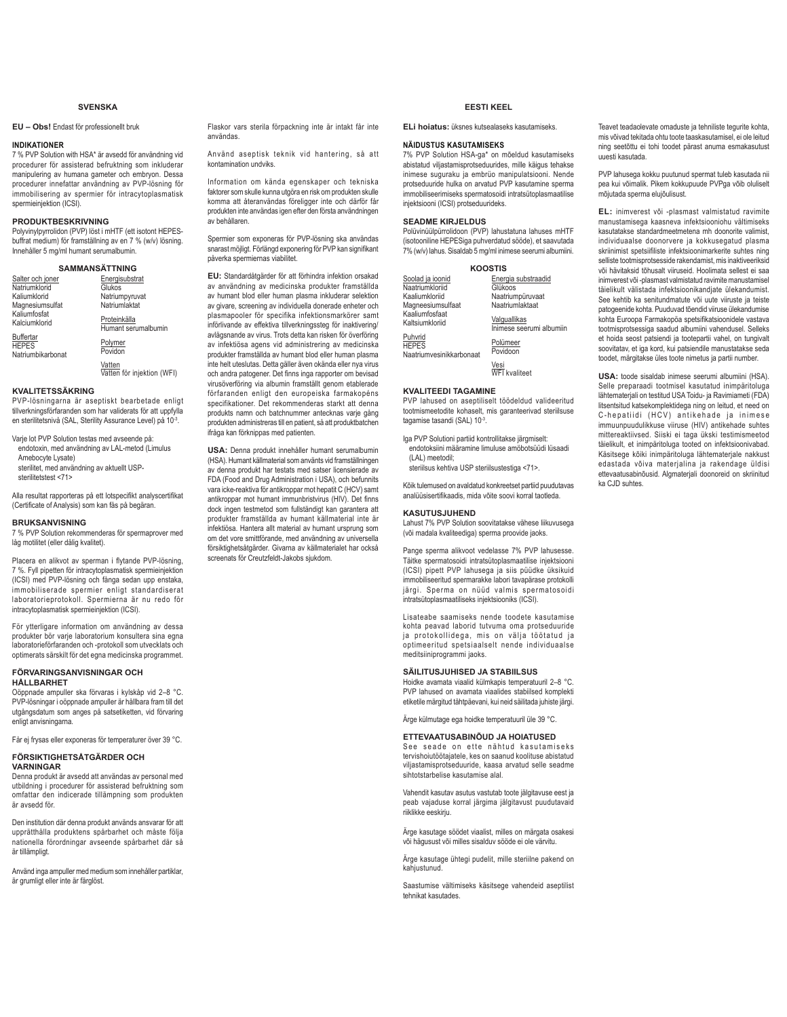### **SVENSKA**

### **EU – Obs!** Endast för professionellt bruk

### **INDIKATIONER**

7 % PVP Solution with HSA\* är avsedd för användning vid procedurer för assisterad befruktning som inkluderar manipulering av humana gameter och embryon. Dessa procedurer innefattar användning av PVP-lösning för immobilisering av spermier för intracytoplasmatisk spermieinjektion (ICSI).

### **PRODUKTBESKRIVNING**

Polyvinylpyrrolidon (PVP) löst i mHTF (ett isotont HEPESbuffrat medium) för framställning av en 7 % (w/v) lösning. Innehåller 5 mg/ml humant serumalbumin.

#### **SAMMANSÄTTNING** Salter och joner **Natriumklorid** Kaliumklorid **Energisubstrat Glukos** Natriumpyruvat

| Magnesiumsulfat                                       | Natriumlaktat                       |
|-------------------------------------------------------|-------------------------------------|
| Kaliumfosfat<br>Kalciumklorid                         | Proteinkälla<br>Humant serumalbumin |
| <b>Buffertar</b><br><b>HEPES</b><br>Natriumbikarbonat | Polymer<br>Povidon                  |

<u>Vatten</u><br>Vatten för injektion (WFI)

### **KVALITETSSÄKRING**

PVP-lösningarna är aseptiskt bearbetade enligt tillverkningsförfaranden som har validerats för att uppfylla en sterilitetsnivå (SAL, Sterility Assurance Level) på 10-3

Varje lot PVP Solution testas med avseende på: endotoxin, med användning av LAL-metod (Limulus

Amebocyte Lysate) sterilitet, med användning av aktuellt USPsterilitetstest <71>

Alla resultat rapporteras på ett lotspecifikt analyscertifikat (Certificate of Analysis) som kan fås på begäran.

### **BRUKSANVISNING**

7 % PVP Solution rekommenderas för spermaprover med låg motilitet (eller dålig kvalitet).

Placera en alikvot av sperman i flytande PVP-lösning, 7 %. Fyll pipetten för intracytoplasmatisk spermieinjektion (ICSI) med PVP-lösning och fånga sedan upp enstaka, immobiliserade spermier enligt standardiserat laboratorieprotokoll. Spermierna är nu redo för intracytoplasmatisk spermieinjektion (ICSI).

För ytterligare information om användning av dessa produkter bör varje laboratorium konsultera sina egna laboratorieförfaranden och -protokoll som utvecklats och optimerats särskilt för det egna medicinska programmet.

### **FÖRVARINGSANVISNINGAR OCH HÅLLBARHET**

Oöppnade ampuller ska förvaras i kylskåp vid 2–8 °C. PVP-lösningar i oöppnade ampuller är hållbara fram till det utgångsdatum som anges på satsetiketten, vid förvaring enligt anvisningarna.

Får ej frysas eller exponeras för temperaturer över 39 °C.

### **FÖRSIKTIGHETSÅTGÄRDER OCH**

**VARNINGAR**

Denna produkt är avsedd att användas av personal med utbildning i procedurer för assisterad befruktning som omfattar den indicerade tillämpning som produkten är avsedd för.

Den institution där denna produkt används ansvarar för att unnrätthålla produktens snårbarhet och måste följa nationella förordningar avseende spårbarhet där så är tillämpligt.

Använd inga ampuller med medium som innehåller partiklar, är grumligt eller inte är färglöst.

Flaskor vars sterila förpackning inte är intakt får inte användas.

Använd aseptisk teknik vid hantering, så att kontamination undviks.

Information om kända egenskaper och tekniska faktorer som skulle kunna utgöra en risk om produkten skulle komma att återanvändas föreligger inte och därför får produkten inte användas igen efter den första användningen av behållaren.

Spermier som exponeras för PVP-lösning ska användas snarast möjligt. Förlängd exponering för PVP kan signifikant påverka spermiernas viabilitet.

**EU:** Standardåtgärder för att förhindra infektion orsakad av användning av medicinska produkter framställda av humant blod eller human plasma inkluderar selektion av givare, screening av individuella donerade enheter och plasmapooler för specifika infektionsmarkörer samt införlivande av effektiva tillverkningssteg för inaktivering/ avlägsnande av virus. Trots detta kan risken för överföring av infektiösa agens vid administrering av medicinska produkter framställda av humant blod eller human plasma inte helt uteslutas. Detta gäller även okända eller nya virus och andra patogener. Det finns inga rapporter om bevisad virusöverföring via albumin framställt genom etablerade förfaranden enligt den europeiska farmakopéns specifikationer. Det rekommenderas starkt att denna produkts namn och batchnummer antecknas varje gång produkten administreras till en patient, så att produktbatchen ifråga kan förknippas med patienten.

**USA:** Denna produkt innehåller humant serumalbumin (HSA). Humant källmaterial som använts vid framställningen av denna produkt har testats med satser licensierade av FDA (Food and Drug Administration i USA), och befunnits vara icke-reaktiva för antikroppar mot hepatit C (HCV) samt antikroppar mot humant immunbristvirus (HIV). Det finns dock ingen testmetod som fullständigt kan garantera att produkter framställda av humant källmaterial inte är infektiösa. Hantera allt material av humant ursprung som om det vore smittförande, med användning av universella försiktighetsåtgärder. Givarna av källmaterialet har också screenats för Creutzfeldt-Jakobs siukdom.

### **EESTI KEEL**

**ELi hoiatus:** üksnes kutsealaseks kasutamiseks.

### **NÄIDUSTUS KASUTAMISEKS**

7% PVP Solution HSA-ga\* on mõeldud kasutamiseks abistatud viljastamisprotseduurides, mille käigus tehakse inimese suguraku ja embrüo manipulatsiooni. Nende protseduuride hulka on arvatud PVP kasutamine sperma immobiliseerimiseks spermatosoidi intratsütoplasmaatilise ministration of perministers.<br>injektsiooni (ICSI) protseduurideks.

### **SEADME KIRJELDUS**

Polüvinüülpürrolidoon (PVP) lahustatuna lahuses mHTF (isotooniline HEPESiga puhverdatud sööde), et saavutada 7% (w/v) lahus. Sisaldab 5 mg/ml inimese seerumi albumiini.

| <b>KOOSTIS</b>                                      |                                          |
|-----------------------------------------------------|------------------------------------------|
| Soolad ja ioonid                                    | Energia substraadid                      |
| Naatriumkloriid                                     | Glükoos                                  |
| Kaaliumkloriid                                      | Naatriumpüruvaat                         |
| Magneesiumsulfaat                                   | Naatriumlaktaat                          |
| Kaaliumfosfaat<br>Kaltsiumkloriid                   | Valguallikas<br>Inimese seerumi albumiin |
| Puhvrid<br><b>HEPES</b><br>Naatriumvesinikkarbonaat | Polümeer<br>Povidoon                     |
|                                                     | Vesi<br>WFI kvaliteet                    |

### **KVALITEEDI TAGAMINE**

PVP lahused on aseptiliselt töödeldud valideeritud tootmismeetodite kohaselt, mis garanteerivad steriilsuse tagamise tasandi (SAL) 10-3.

Iga PVP Solutioni partiid kontrollitakse järgmiselt:

endotoksiini määramine limuluse amöbotsüüdi lüsaadi (LAL) meetodil;

steriilsus kehtiva USP steriilsustestiga <71>.

Kõik tulemused on avaldatud konkreetset partiid puudutavas DQDOVLVHUWL¿NDDGLVPLGDY}LWHVRRYLNRUUDOWDRWOHGD

### **KASUTUSJUHEND**

Lahust 7% PVP Solution soovitatakse vähese liikuvusega Y}LPDGDODNYDOLWHHGLJDVSHUPDSURRYLGHMDRNV

Pange sperma alikvoot vedelasse 7% PVP lahusesse. Täitke spermatosoidi intratsütoplasmaatilise injektsiooni (ICSI) pipett PVP lahusega ja siis püüdke üksikuid immobiliseeritud spermarakke labori tavapärase protokolli järgi. Sperma on nüüd valmis spermatosoidi intratsütoplasmaatiliseks injektsiooniks (ICSI).

Lisateabe saamiseks nende toodete kasutamise kohta peavad laborid tutvuma oma protseduuride ja protokollidega, mis on välja töötatud ja<br>optimeeritud spetsiaalselt nende individuaalse meditsiiniprogrammi jaoks.

### **SÄILITUSJUHISED JA STABIILSUS**

Hoidke avamata viaalid külmkapis temperatuuril 2–8 °C. PVP lahused on avamata viaalides stabiilsed komplekti etiketile märgitud tähtpäevani, kui neid säilitada juhiste järgi.

Ärge külmutage ega hoidke temperatuuril üle 39 °C.

### **ETTEVAATUSABINÕUD JA HOIATUSED**

See seade on ette nähtud kasutamiseks tervishoiutöötajatele, kes on saanud koolituse abistatud viliastamisprotseduuride, kaasa arvatud selle seadme sihtotstarbelise kasutamise alal.

Vahendit kasutav asutus vastutab toote jälgitavuse eest ja peab vajaduse korral järgima jälgitavust puudutavaid riiklikke eeskiriu

Ärge kasutage söödet viaalist, milles on märgata osakesi või hägusust või milles sisalduv sööde ei ole värvitu.

Ärge kasutage ühtegi pudelit, mille steriilne pakend on kahjustunud.

Saastumise vältimiseks käsitsege vahendeid aseptilist tehnikat kasutades.

Teavet teadaolevate omaduste ja tehniliste tegurite kohta, mis võivad tekitada ohtu toote taaskasutamisel, ei ole leitud ning seetõttu ei tohi toodet pärast anuma esmakasutust uuesti kasutada.

PVP lahusega kokku puutunud spermat tuleb kasutada nii pea kui võimalik. Pikem kokkupuude PVPga võib oluliselt mõjutada sperma elujõulisust.

**EL:** inimverest või -plasmast valmistatud ravimite manustamisega kaasneva infektsiooniohu vältimiseks kasutatakse standardmeetmetena mh doonorite valimist, individuaalse doonorvere ja kokkusegatud plasma skriinimist spetsiifiliste infektsioonimarkerite suhtes ning selliste tootmisprotsesside rakendamist, mis inaktiveeriksid või hävitaksid tõhusalt viiruseid. Hoolimata sellest ei saa inimverest või -plasmast valmistatud ravimite manustamisel täielikult välistada infektsioonikandiate ülekandumist See kehtib ka senitundmatute või uute viiruste ja teiste patogeenide kohta. Puuduvad tõendid viiruse ülekandumise kohta Euroopa Farmakopöa spetsifikatsioonidele vastava tootmisprotsessiga saadud albumiini vahendusel. Selleks et hoida seost patsiendi ja tootepartii vahel, on tungivalt soovitatav, et iga kord, kui patsiendile manustatakse seda toodet, märgitakse üles toote nimetus ja partij number.

**USA:** toode sisaldab inimese seerumi albumiini (HSA). Selle preparaadi tootmisel kasutatud inimpäritoluga lähtematerjali on testitud USA Toidu- ja Ravimiameti (FDA) litsentsitud katsekomplektidega ning on leitud, et need on C-hepatiidi (HCV) antikehade ja inimese immuunpuudulikkuse viiruse (HIV) antikehade suhtes mittereaktiivsed. Siiski ei taga ükski testimismeetod täielikult, et inimpäritoluga tooted on infektsioonivabad. Käsitsege kõiki inimpäritoluga lähtematerjale nakkust edastada võiva materjalina ja rakendage üldisi ettevaatusabinõusid. Algmaterjali doonoreid on skriinitud ka CJD suhtes.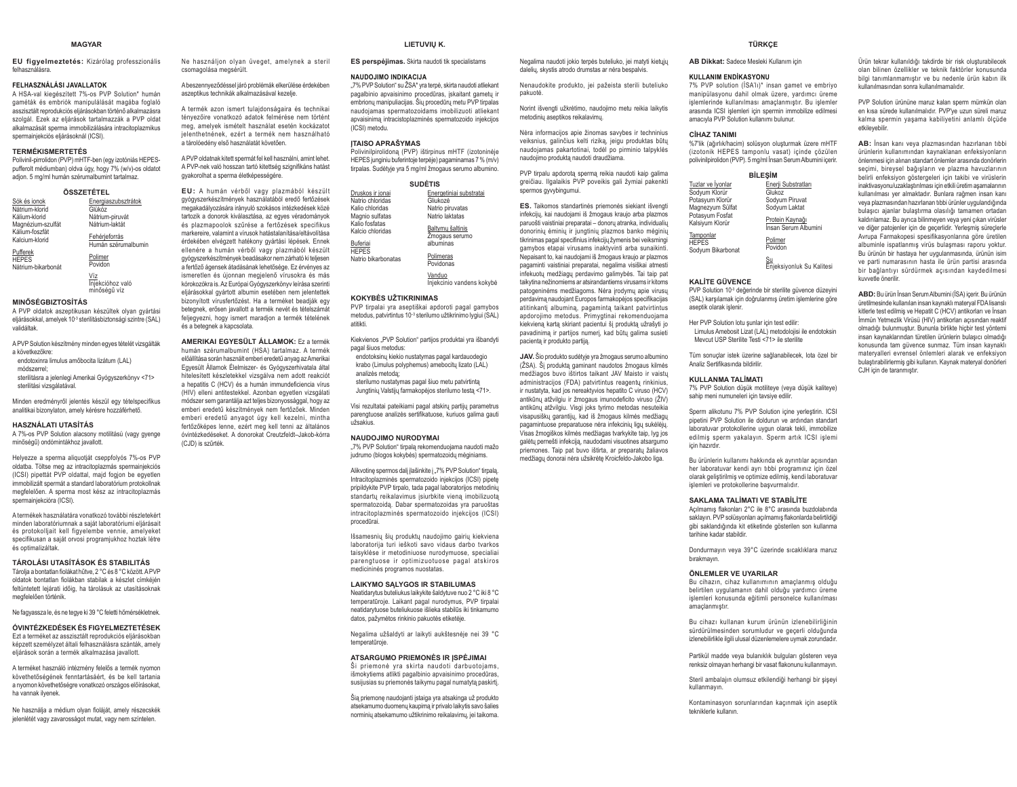#### **MAGYAR**

**EU figyelmeztetés:** Kizárólag professzionális felhasználásra.

### **FELHASZNÁLÁSI JAVALLATOK**

 A HSA-val kiegészített 7%-os PVP Solution\* humán gaméták és embriók manipulálását magába foglaló asszisztált reprodukciós eljárásokban történő alkalmazásra szolgál. Ezek az eliárások tartalmazzák a PVP oldat alkalmazását sperma immobilizálására intracitoplazmikus spermainiekciós eliárásoknál (ICSI).

#### **TERMÉKISMERTETÉS**

 Polivinil-pirrolidon (PVP) mHTF-ben (egy izotóniás HEPESpufferolt médiumban) oldva úgy, hogy 7% (w/v)-os oldatot adjon. 5 mg/ml humán szérumalbumint tartalmaz.

| Sók és ionok                     | Energiaszubsztrátok                     |
|----------------------------------|-----------------------------------------|
| Nátrium-klorid                   | Glükóz                                  |
| Kálium-klorid                    | Nátrium-piruvát                         |
| Magnézium-szulfát                | Nátrium-laktát                          |
| Kálium-foszfát<br>Kalcium-klorid | Fehérjeforrás<br>Humán szérumalbumin    |
| Pufferek<br><b>HEPES</b>         | Polimer<br>Povidon                      |
| Nátrium-bikarbonát               |                                         |
|                                  | Víz<br>Injekcióhoz való<br>minőségű víz |

### **MINŐSÉGBIZTOSÍTÁS**

 A PVP oldatok aszeptikusan készültek olyan gyártási eljárásokkal, amelyek 10<sup>-3</sup> sterilitásbiztonsági szintre (SAL) validáltak.

A PVP Solution készítmény minden egyes tételét vizsgálták a következőkre:

endotoxinra limulus amőbocita lizátum (LAL) módszerrel; sterilitásra a jelenlegi Amerikai Gyógyszerkönyv <71>

sterilitási vizsgálatával.

Minden eredményről jelentés készül egy tételspecifikus matern recentlinger greened medal eggs terms.

#### **HASZNÁLATI UTASÍTÁS**

 A 7%-os PVP Solution alacsony motilitású (vagy gyenge minőségű) ondómintákhoz javallott.

Helyezze a sperma aliquotját cseppfolyós 7%-os PVP oldatba. Töltse meg az intracitoplazmás spermainjekciós (ICSI) pipettát PVP oldattal, majd fogjon be egyetlen immobilizált spermát a standard laboratórium protokollnak megfelelően. A snerma most kész az intracitonlazmás spermainjekcióra (ICSI).

A termékek használatára vonatkozó további részletekért minden laboratóriumnak a saját laboratóriumi eljárásait és protokolliait kell figvelembe vennie, amelyeket specifikusan a saját orvosi programjukhoz hoztak létre és optimalizáltak.

#### **TÁROLÁSI UTASÍTÁSOK ÉS STABILITÁS**

Tárolja a bontatlan fiolákat hűtve, 2 °C és 8 °C között. A PVP oldatok bontatlan fiolákban stabilak a készlet címkéjén feltüntetett lejárati időig, ha tárolásuk az utasításoknak megfelelően történik.

Ne faqyassza le, és ne teqye ki 39 °C feletti hőmérsékletnek.

### **ÓVINTÉZKEDÉSEK ÉS FIGYELMEZTETÉSEK**Ezt a terméket az asszisztált reprodukciós eljárásokban

képzett személyzet általi felhasználásra szánták, amely eljárások során a termék alkalmazása javallott.

A terméket használó intézmény felelős a termék nyomon követhetőségének fenntartásáért, és be kell tartania a nyomon követhetőségre vonatkozó országos előírásokat, ha vannak ilyenek.

Ne használja a médium olyan fioláját, amely részecskék jelenlétét vagy zavarosságot mutat, vagy nem színtelen.

Ne használjon olyan üveget, amelynek a steril csomagolása megsérült.

A beszennyeződéssel járó problémák elkerülése érdekében aszeptikus technikák alkalmazásával kezelje.

A termék azon ismert tulaidonságaira és technikai tényezőire vonatkozó adatok felmérése nem történt meg, amelyek ismételt használat esetén kockázatot ielenthetnének, ezért a termék nem használható a tárolóedény első használatát követően.

A PVP oldatnak kitett spermát fel kell használni, amint lehet. A PVP-nek való hosszan tartó kitettség szignifikáns hatást gyakorolhat a sperma életképességére.

EU: A humán vérből vagy plazmából készült qyóqyszerkészítmények használatából eredő fertőzések megakadályozására irányuló szokásos intézkedések közé tartozik a donorok kiválasztása, az egyes véradományok és plazmanoplok szűrése a fertőzések specifikus markereire, valamint a vírusok hatástalanítása/eltávolítása érdekében elvégzett hatékony gyártási lépések. Ennek ellenére a humán vérből vagy plazmából készült gyógyszerkészítmények beadásakor nem zárható ki teljesen a fertőző ágensek átadásának lehetősége. Ez érvényes az ismeretlen és újonnan megjelenő vírusokra és más kórokozókra is. Az Európai Gyógyszerkönyv leírása szerinti eliárásokkal gyártott albumin esetében nem jelentettek bizonyított vírusfertőzést. Ha a terméket beadják egy betegnek, erősen javallott a termék nevét és tételszámát feljegyezni, hogy ismert maradjon a termék tételének és a betegnek a kapcsolata.

**AMERIKAI EGYESÜLT ÁLLAMOK:** Ez a termék humán szérumalbumint (HSA) tartalmaz. A termék előállítása során használt emberi eredetű anyag az Amerikai Egyesült Államok Élelmiszer- és Gyógyszerhivatala által hitelesített készletekkel vizsgálva nem adott reakciót a henatitis C (HCV) és a humán immundeficiencia vírus (HIV) elleni antitestekkel. Azonban egyetlen vizsgálati módszer sem garantálja azt teljes bizonyossággal, hogy az emberi eredetű készítmények nem fertőzőek. Minden emberi eredetű anyagot úgy kell kezelni, mintha fertőzőképes lenne, ezért meg kell tenni az általános óvintézkedéseket. A donorokat Creutzfeldt–Jakob-kórra  $(C_{n}|\mathsf{D})$  is szűrték

#### **LIETUVIU K.**

**ES perspélimas.** Skirta naudoti tik specialistams

#### **NAUDOJIMO INDIKACIJA**

"7% PVP Solution" su ŽSA\* yra terpė, skirta naudoti atliekant pagalbinio apvaisinimo procedūras, įskaitant gametų ir embrionų manipuliacijas. Šių procedūrų metu PVP tirpalas naudojamas spermatozoidams imobilizuoti atliekant apvaisinima intracistoplazminės spermatozoido injekcijos (ICSI) metodu.

### **ITAISO APRAŠYMAS**

Polivinilpirolidoną (PVP) ištirpinus mHTF (izotoninėje HEPES junginiu buferintoje terpėje) pagaminamas 7 % (m/v) tirpalas. Sudėtyje yra 5 mg/ml žmogaus serumo albumino.

#### **68'Ơ7,6**

| Druskos ir ionai                   | Energetiniai substratai   |  |
|------------------------------------|---------------------------|--|
| Natrio chloridas                   | Gliukozė                  |  |
| Kalio chloridas                    | Natrio piruvatas          |  |
| Magnio sulfatas                    | Natrio laktatas           |  |
| Kalio fosfatas<br>Kalcio chloridas | Baltymų šaltinis          |  |
|                                    | Żmogaus serumo            |  |
| <b>Buferiai</b>                    | albuminas                 |  |
| <b>HEPES</b>                       | Polimeras                 |  |
| Natrio bikarbonatas                | Povidonas                 |  |
|                                    |                           |  |
|                                    | Vanduo                    |  |
|                                    | Injekcinio vandens kokybė |  |

#### **KOKYBĖS UŽTIKRINIMAS**

 PVP tirpalai yra aseptiškai apdoroti pagal gamybos metodus, patvirtintus 10<sup>-3</sup> sterilumo užtikrinimo lygiui (SAL) atitikti.

Kiekvienos "PVP Solution" partijos produktai vra išbandyti pagal šiuos metodus:

endotoksinų kiekio nustatymas pagal kardauodegio krabo (Limulus polyphemus) amebocitu lizato (LAL) analizės metoda: sterilumo nustatymas pagal šiuo metu patvirtintą

Jungtinių Valstijų farmakopėjos sterilumo testą <71>.

Visi rezultatai pateikiami pagal atskirų partijų parametrus parengtuose analizės sertifikatuose, kuriuos galima gauti .<br>Vižeakius

#### **NAUDOJIMO NURODYMAI**

"7% PVP Solution" tirpalą rekomenduojama naudoti mažo judrumo (blogos kokybės) spermatozoidų mėginiams.

Alikyotine spermos dali ilašinkite i .7% PVP Solution" tirpala. Intracitoplazminės spermatozoido injekcijos (ICSI) pipetę pripildykite PVP tirpalo, tada pagal laboratorijos metodinių standartų reikalavimus įsiurbkite vieną imobilizuotą snermatozoida. Dabar spermatozoidas vra paruoštas intracitoplazminės spermatozoido injekcijos (ICSI) procedūrai.

Išsamesnių šių produktų naudojimo gairių kiekviena laboratorija turi ieškoti savo vidaus darbo tvarkos taisyklėse ir metodiniuose nurodymuose, specialiai parengtuose ir optimizuotuose pagal atskiros medicininės programos nuostatas.

#### **LAIKYMO SALYGOS IR STABILUMAS**

Neatidarytus buteliukus laikykite šaldytuve nuo 2 °C iki 8 °C temperatūroje. Laikant pagal nurodymus. PVP tirpalai neatidarytuose buteliukuose išlieka stabilūs iki tinkamumo datos, pažymėtos rinkinio pakuotės etiketėje.

Negalima užšaldyti ar laikyti aukštesnėje nei 39 °C temperatūroje.

#### **ATSARGUMO PRIEMONĖS IR ISPĖJIMAI**

â Driemonė yra skirta naudoti darbuotojams, išmokytiems atlikti pagalbinio apvaisinimo procedūras, susijusias su priemonės taikymu pagal numatytą paskirti.

Šia priemone naudoianti istaiga vra atsakinga už produkto atsekamumo duomenų kaupimą ir privalo laikytis savo šalies norminiu atsekamumo užtikrinimo reikalavimu, jei taikoma.

Negalima naudoti jokio terpės buteliuko, jei matyti kietųjų daleliu, skystis atrodo drumstas ar nėra bespalvis. Nenaudokite produkto, jei pažeista sterili buteliuko

nakuntė

Norint išvengti užkrėtimo, naudojimo metu reikia laikytis metodiniu asentikos reikalavimu

Nėra informacijos apie žinomas savybes ir techninius veiksnius, galinčius kelti riziką, jeigu produktas būtų naudojamas pakartotinai, todėl po pirminio talpyklės naudojimo produktą naudoti draudžiama.

PVP tirpalu apdorota sperma reikia naudoti kaip qalima JUHLA SPERITUL 1933 SRYHLA 1944 SPRAND 1944 SPRAND 1944 SPRAND 1944 SPRAND 1944 SPRAND 1944 SPRAND 1944 SPRAND spermos gyvybingumui.

**ES.** Taikomos standartinės priemonės siekiant išvenoti infekcijų, kai naudojami iš žmogaus kraujo arba plazmos paruošti vaistiniai preparatai - donorų atranka, individualių donorinių ėminių ir jungtinių plazmos banko mėginių WLNULQLPDVSDJDOVSHFL¿QLXVLQIHNFLMǐå\PHQLVEHLYHLNVPLQJL gamybos etapai virusams inaktyvinti arba sunaikinti. Nepaisant to, kai naudojami iš žmogaus kraujo ar plazmos pagaminti vaistiniai preparatai, negalima visiškai atmesti infekuotų medžiagų perdavimo galimybės. Tai taip pat taikytina nežinomiems ar atsirandantiems virusams ir kitoms patogeninėms medžiagoms. Nėra įrodymų apie virusų perdavimą naudojant Europos farmakopėjos specifikacijas atitinkantį albuminą, pagamintą taikant patvirtintus apdorojimo metodus. Primygtinai rekomenduojama kiekviena karta skiriant pacientui ši produkta užrašyti jo pavadinima ir partijos numeri, kad būtu galima susieti nacienta ir produkto partija

**JAV.** Šio produkto sudėtvie vra žmogaus serumo albumino (ŽSA). Ši produkta gaminant naudotos žmogaus kilmės medžiagos buvo ištirtos taikant JAV Maisto ir vaistu administracijos (FDA) patvirtintus reagentų rinkinius, ir nustatyta, kad jos nereaktyvios hepatito C viruso (HCV) antikūnu atžvilgiu ir žmogaus imunodeficito viruso (ŽIV) antikūnų atžvilgiu. Visgi joks tyrimo metodas nesuteikia visapusišku garantiju, kad iš žmogaus kilmės medžiagu pagamintuose preparatuose nėra infekcinių ligų sukėlėjų. Visas žmogiškos kilmės medžiagas tvarkykite taip. Ivg jos galėtu pernešti infekcija, naudodami visuotines atsargumo priemones. Taip pat buvo ištirta, ar preparatų žaliavos medžiagų donorai nėra užsikrėte Kroicfeldo-Jakobo liga.

#### **TÜRKÇE**

**AB Dikkat:** Sadece Mesleki Kullanım için

#### **KULLANIM ENDİKASYONU**

7% PVP solution (ISA'lı)\* insan gamet ve embriyo manipülasyonu dahil olmak üzere, yardımcı üreme işlemlerinde kullanılması amaçlanmıştır. Bu işlemler arasında ICSI işlemleri için spermin immobilize edilmesi amacıvla PVP Solution kullanımı bulunur.

#### $C<sup>1</sup>HAZ TANIMI$

%7'lik (ağırlık/hacim) solüsyon oluşturmak üzere mHTF (izotonik HEPES tamponlu vasat) içinde çözülen polivinilpirolidon (PVP). 5 mg/ml Insan Serum Albumini içerir.

### **BİLESİM**

|                                                             | -------                                 |
|-------------------------------------------------------------|-----------------------------------------|
| Tuzlar ve İyonlar                                           | Enerji Substratları                     |
| Sodyum Klorür                                               | Glukoz                                  |
| Potasyum Klorür                                             | Sodyum Piruvat                          |
| Magnezyum Sülfat                                            | Sodyum Laktat                           |
| Potasvum Fosfat<br>Kalsiyum Klorür                          | Protein Kaynağı<br>Insan Serum Albumini |
| Tamponlar<br><b>HEPES</b><br>On the control Different works | Polimer<br>Povidon                      |

Sodyum Bikarbonat

#### **KALİTE GÜVENCE**

PVP Solution 10<sup>-3</sup> değerinde bir sterilite güvence düzeyini (SAL) karşılamak için doğrulanmış üretim işlemlerine göre aseptik olarak islenir

<u>Su</u><br>Enjeksiyonluk Su Kalitesi

Her PVP Solution lotu sunlar icin test edilir: Limulus Amebosit Lizat (LAL) metodolojisi ile endotoksin Mevcut USP Sterilite Testi <71> ile sterilite

Tüm sonuclar istek üzerine sağlanabilecek lota özel bir Analiz Sertifikasında hildirilir

#### **KIII LANMA TAI İMATI**

7% PVP Solution düşük motiliteye (veya düşük kaliteye) sahip meni numuneleri için tavsiye edilir.

Sperm alikotunu 7% PVP Solution içine yerleştirin. ICSI pipetini PVP Solution ile doldurun ve ardından standart laboratuvar protokollerine uygun olarak tekli, immobilize edilmiş sperm yakalayın. Sperm artık ICSI işlemi icin hazırdır.

Bu ürünlerin kullanımı hakkında ek ayrıntılar açısından her laboratuvar kendi ayrı tıbbi programınız için özel olarak geliştirilmiş ve optimize edilmiş, kendi laboratuvar işlemleri ve protokollerine başvurmalıdır.

#### **6 SAKLAMA TALİMATI VE STABİLİTE**

Açılmamış flakonları 2°C ile 8°C arasında buzdolabında saklayın. PVP solüsyonları açılmamış flakonlarda belirtildiği gibi saklandığında kit etiketinde gösterilen son kullanma tarihine kadar stabildir.

Dondurmayın yeya 39°C üzerinde sıcaklıklara maruz birakmavin.

#### **ÖNLEMLER VE UYARILAR**

Bu cihazın, cihaz kullanımının amaçlanmış olduğu belirtilen uygulamanın dahil olduğu yardımcı üreme islemleri konusunda eğitimli personelce kullanılması amaclanmıştır

Bu cihazı kullanan kurum ürünün izlenebilirliğinin Sürdürülmesinden sorumludur ve gecerli olduğunda izlenebilirlikle ilgili ulusal düzenlemelere uymak zorundadır.

Partikül madde veya bulanıklık bulguları gösteren veya renksiz olmavan herhangi bir vasat flakonunu kullanmayın.

Steril ambalajın olumsuz etkilendiği herhangi bir sisevi kullanmavın.

Kontaminasyon sorunlarından kaçınmak için aseptik tekniklerle kullanın

olan bilinen özellikler ve teknik faktörler konusunda bilgi tanımlanmamıştır ve bu nedenle ürün kabın ilk kullanılmasından sonra kullanılmamalıdır.

PVP Solution ürününe maruz kalan sperm mümkün olan en kısa sürede kullanılmalıdır. PVP'ye uzun süreli maruz kalma spermin yaşama kabiliyetini anlamlı ölçüde etkileyebilir.

Ürün tekrar kullanıldığı takdirde bir risk olusturabilecek

AB: İnsan kanı veya plazmasından hazırlanan tıbbi ürünlerin kullanımından kaynaklanan enfeksiyonların önlenmesi için alınan standart önlemler arasında donörlerin secimi bireysel bağısların ve plazma bayuzlarının belirli enfeksiyon göstergeleri için takibi ve virüslerin inaktivasvonu/uzaklastırılması için etkili üretim asamalarının kullanılması yer almaktadır. Bunlara rağmen insan kanı veya plazmasından hazırlanan tıbbi ürünler uygulandığında bulaşıcı ajanlar bulaştırma olasılığı tamamen ortadan kaldırılamaz. Bu ayrıca bilinmeyen yeya yeni çıkan yirüsler ve diğer patojenler için de geçerlidir. Yerleşmiş süreçlerle Ayrupa Farmakopesi spesifikasyonlarına göre üretilen albuminle ispatlanmış virüs bulaşması raporu yoktur. Bu ürünün bir hastaya her uygulanmasında, ürünün isim ve parti numarasının hasta ile ürün partisi arasında bir bağlantıyı sürdürmek açısından kaydedilmesi kuvvetle önerilir.

**ABD:** Bu ürün İnsan Serum Albumini (İSA) içerir. Bu ürünün üretilmesinde kullanılan insan kaynaklı materyal FDA lisanslı kitlerle test edilmis ve Hepatit C (HCV) antikorları ve İnsan İmmün Yetmezlik Virüsü (HIV) antikorları açısından reaktif ROPOGÖ ÜNITED TELEVILLER (KITT) ZIININGIN TIISELE KUTTA TELEVILLER ÜHENLO insan kavnaklarından türetilen ürünlerin bulasıcı olmadığı konusunda tam güvence sunmaz. Tüm insan kavnaklı materyalleri evrensel önlemleri alarak ve enfeksiyon bulaştırabilirlermiş gibi kullanın. Kaynak materyal donörleri C.IH icin de taranmistir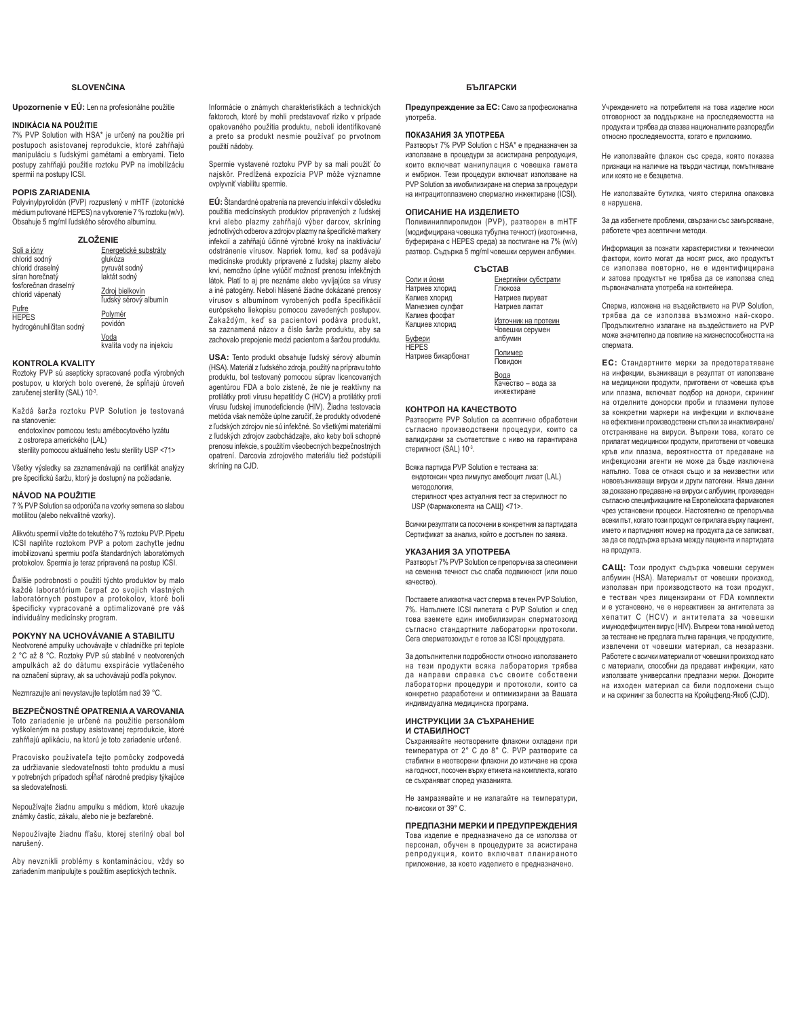### **SLOVENČINA**

### Upozornenie v EÚ: Len na profesionálne použitie

### **INDIKÁCIA NA POUŽITIE**

7% PVP Solution with HSA\* je určený na použitie pri postupoch asistovanej reprodukcie, ktoré zahŕňajú manipuláciu s ľudskými gamétami a embryami. Tieto<br>postupy zahŕňajú použitie roztoku PVP na imobilizáciu spermií na postupy ICSI.

### **POPIS ZARIADENIA**

Polyvinylpyrolidón (PVP) rozpustený v mHTF (izotonické médium pufrované HEPES) na vytvorenie 7 % roztoku (w/v).<br>Obsahuje 5 mg/ml ľudského sérového albumínu.

### **=/2ä(1,(**

| Soli a jóny                                      | Energetické substráty                    |
|--------------------------------------------------|------------------------------------------|
| chlorid sodný                                    | glukóza                                  |
| chlorid draselný                                 | pyruvát sodný                            |
| síran horečnatý                                  | laktát sodný                             |
| fosforečnan draselný<br>chlorid vápenatý         | Zdroj bielkovín<br>ľudský sérový albumín |
| Pufre<br><b>HEPES</b><br>hydrogénuhličitan sodný | Polymér<br>povidón                       |
|                                                  | Voda<br>kvalita vody na injekciu         |

**KONTROLA KVALITY**

Roztoky PVP sú asepticky spracované podľa výrobných postupov, u ktorých bolo overené, že spĺňajú úroveň zaručenej sterility (SAL) 10<sup>-3</sup>.

Každá šarža roztoku PVP Solution je testovaná na stanovenie:

endotoxínov pomocou testu amébocytového lyzátu z ostrorepa amerického (LAL)

sterility pomocou aktuálneho testu sterility USP <71>

Všetky výsledky sa zaznamenávajú na certifikát analýzy pre špecifickú šaržu, ktorý je dostupný na požiadanie

### **NÁVOD NA POUŽITIE**

7 % PVP Solution sa odporúča na vzorky semena so slabou motilitou (alebo nekvalitné vzorky).

Alikvótu spermií vložte do tekutého 7 % roztoku PVP. Pipetu , Anti-Sub-Sperman risks as tenditions and special and the risks of stationary in the pedal imobilizovanú spermiu podľa štandardných laboratórnych protokolov. Spermia je teraz pripravená na postup ICSI.

Ďalšie podrobnosti o použití týchto produktov by malo<br>každé laboratórium čerpať zo svojich vlastných laboratórnych postupov a protokolov, ktoré boli špecificky vypracované a optimalizované pre váš individuálny medicínsky program.

### **POKYNY NA UCHOVÁVANIE A STABILITU**

Neotvorené ampulky uchovávajte v chladničke pri teplote<br>2 °C až 8 °C. Roztoky PVP sú stabilné v neotvorených ampulkách až do dátumu exspirácie vytlačeného na označení súpravy, ak sa uchovávajú podľa pokynov.

Nezmrazujte ani nevystavujte teplotám nad 39 °C

### **BEZPEČNOSTNÉ OPATRENIA A VAROVANIA**

Toto zariadenie je určené na použitie personálom vyškoleným na postupy asistovanej reprodukcie, ktoré zahŕňajú aplikáciu, na ktorú je toto zariadenie určené.

Pracovisko používateľa tejto pomôcky zodpovedá za udržiavanie sledovateľnosti tohto produktu a musí v potrebných prípadoch spĺňať národné predpisy týkajúce sa sledovateľnosti

Nepoužívajte žiadnu ampulku s médiom, ktoré ukazuje známky častíc, zákalu, alebo nie je bezfarebné.

Nepoužívajte žiadnu fľašu, ktorej sterilný obal bol narušený.

Aby nevznikli problémy s kontamináciou, vždy so zariadením manipulujte s použitím aseptických techník.

Informácie o známych charakteristikách a technických faktoroch, ktoré by mohli predstavovať riziko v prípade opakovaného použitia produktu, neboli identifikované a preto sa produkt nesmie používať po prvotnom použití nádoby.

Spermie vystavené roztoku PVP by sa mali použiť čo najskôr. Predĺžená expozícia PVP môže významne ovplyvniť viabilitu spermie.

EÚ: Štandardné opatrenia na prevenciu infekcií v dôsledku použitia medicínskych produktov pripravených z ľudskej NUYL DOMENTION, DI PISCHICH PIPPILE SODILLO DI DISPONE SODILLO DI BRITISHO DI BRITISHO DI BRITISHO DI BRITISHO iednotlivých odberov a zdrojov plazmy na špecifické markery infekcií a zahŕňajú účinné výrobné kroky na inaktiváciu odstránenie vírusov. Napriek tomu, keď sa podávajú medicínske produkty pripravené z ľudskej plazmy alebo krvi, nemožno úplne vylúčiť možnosť prenosu infekčných látok. Platí to aj pre neznáme alebo vyvíjajúce sa vírusy a iné patogény. Neboli hlásené žiadne dokázané prenosy vírusov s albumínom vyrobených podľa špecifikácií európskeho liekopisu pomocou zavedených postupov. Zakaždým, keď sa pacientovi podáva produkt, sa zaznamená názov a číslo šarže produktu, aby sa zachovalo prepojenie medzi pacientom a šaržou produktu.

**USA:** Tento produkt obsahuje ľudský sérový albumín (HSA). Materiál z ľudského zdroja, použitý na prípravu tohto produktu, bol testovaný pomocou súprav licencovaných agentúrou FDA a bolo zistené, že nie je reaktívny na protilátky proti vírusu hepatitídy C (HCV) a protilátky proti .<br>vírusu ľudskej imunodeficiencie (HIV). Žiadna testovacia metóda však nemôže úplne zaručiť, že produkty odvodené z ľudských zdrojov nie sú infekčné. So všetkými materiálmi z ľudských zdrojov zaobchádzajte, ako keby boli schopné prenosu infekcie, s použitím všeobecných bezpečnostných opatrení. Darcovia zdrojového materiálu tiež podstúpili skríning na CJD.

### **БЪЛГАРСКИ**

Предупреждение за ЕС: Само за професионална употреба.

#### ПОКАЗАНИЯ ЗА УПОТРЕБА

Разтворът 7% PVP Solution с HSA\* е предназначен за използване в процедури за асистирана репродукция, които включват манипулация с човешка гамета и ембрион. Тези процедури включват използване на A Supprism Tech hip dd philosophic results the memorial of the PVP Solution за имобилизиране на сперма за процедури на интрацитоплазмено спермално инжектиране (ICSI).

### ОПИСАНИЕ НА ИЗЛЕПИЕТО

Поливинилпиролидон (PVP), разтворен в mHTF (модифицирана човешка тубулна течност) (изотонична, буферирана с HEPES среда) за постигане на 7% (w/v) разтвор. Съдържа 5 mg/ml човешки серумен албумин.

|                                                                    | <b>СЪСТАВ</b>                                                       |
|--------------------------------------------------------------------|---------------------------------------------------------------------|
| Соли и йони<br>Натриев хлорид<br>Калиев хлорид<br>Магнезиев сулфат | Енергийни субстрати<br>Глюкоза<br>Натриев пируват<br>Натриев лактат |
| Калиев фосфат<br>Калциев хлорид<br>Буфери<br><b>HEPES</b>          | Източник на протеин<br>Човешки серумен<br>албумин                   |
| Натриев бикарбонат                                                 | Полимер<br>Повидон                                                  |
|                                                                    | Вода<br>Качество - вода за                                          |

КОНТРОЛ НА КАЧЕСТВОТО

Разтворите PVP Solution са асептично обработени съгласно производствени процедури, които са валидирани за съответствие с ниво на гарантирана стерилност (SAL) 10-3.

инжектиране

Всяка партида PVP Solution е тествана за:

ендотоксин чрез лимулус амебоцит лизат (LAL)

методология, стерилност чрез актуалния тест за стерилност по

USP (Фармакопеята на САЩ) <71>

Всички резултати са посочени в конкретния за партидата Сертификат за анализ, който е достъпен по заявка

#### УКАЗАНИЯ ЗА УПОТРЕБА

Разтворът 7% PVP Solution се препоръчва за спесимени на семенна течност със слаба подвижност (или лошо kayectrol

Поставете аликвотна част сперма в течен PVP Solution, 7%. Напълнете ICSI пипетата с PVP Solution и след това вземете един имобилизиран сперматозоид съгласно стандартните лабораторни протоколи. Сега сперматозоидът е готов за ICSI процедурата.

За допълнителни подробности относно използването на тези продукти всяка лаборатория трябва да направи справка със своите собствени лабораторни процедури и протоколи, които са конкретно разработени и оптимизирани за Вашата индивидуална медицинска програма.

#### ИНСТРУКЦИИ ЗА СЪХРАНЕНИЕ И СТАБИЛНОСТ

Съхранявайте неотворените флакони охладени при температура от 2° С до 8° С. PVP разтворите са cтабилни в неотворени флакони до изтичане на срока на годност, посочен върху етикета на комплекта, когато се съхраняват според указанията.

Не замразявайте и не излагайте на температури, по-високи от 39° С.

### ПРЕДПАЗНИ МЕРКИ И ПРЕДУПРЕЖДЕНИЯ

Това изделие е предназначено да се използва от<br>персонал, обучен в процедурите за асистирана репродукция, които включват планираното приложение, за което изделието е предназначено.

Учреждението на потребителя на това изделие носи отговорност за поддържане на проследяемостта на продукта и трябва да спазва националните разпоредби относно проследяемостта, когато е приложимо.

Не използвайте флакон със среда, която показва признаци на наличие на твърди частици, помътняване или която не е безцветна

Не използвайте бутилка, чиято стерилна опаковка е нарушена

За да избегнете проблеми, свързани със замърсяване, работете чрез асептични методи

Информация за познати характеристики и технически фактори, които могат да носят риск, ако продуктът се използва повторно, не е идентифицирана и затова продуктът не трябва да се използва след първоначалната употреба на контейнера.

Сперма, изложена на въздействието на PVP Solution, трябва да се използва възможно най-скоро. Продължително излагане на въздействието на PVP може значително да повлияе на жизнеспособността на CRANATA

**ЕС**: Стандартните мерки за предотвратяване на инфекции, възникващи в резултат от използване на медицински продукти, приготвени от човешка кръв или плазма, включват подбор на донори, скрининг на отделните донорски проби и плазмени пулове за конкретни маркери на инфекции и включване ɧɚɟɮɟɤɬɢɜɧɢɩɪɨɢɡɜɨɞɫɬɜɟɧɢɫɬɴɩɤɢɡɚɢɧɚɤɬɢɜɢɪɚɧɟ атстраняване на вируси. Въпреки това, когато се прилагат медицински продукти, приготвени от човешка кръв или плазма, вероятността от предаване на инфекциозни агенти не може да бъде изключена напълно. Това се отнася също и за неизвестни или нововъзникващи вируси и други патогени. Няма данни за доказано предаване на вируси с албумин, произведен съгласно спецификациите на Европейската фармакопея чрез установени процеси. Настоятелно се препоръчва всеки път, когато този продукт се прилага върху пациент. името и партидният номер на продукта да се записват. за да се поддържа връзка между пациента и партидата на продукта.

САЩ: Този продукт съдържа човешки серумен албумин (HSA). Материалът от човешки произход, използван при производството на този продукт, е тестван чрез лицензирани от FDA комплекти и е установено, че е нереактивен за антителата за хепатит С (HCV) и антителата за човешки имунодефицитен вирус (HIV). Въпреки това никой метод за тестване не предлага пълна гаранция, че продуктите, извлечени от човешки материал, са незаразни. Работете с всички материали от човешки произход като с материали, способни да предават инфекции, като използвате универсални предпазни мерки. Донорите на изходен материал са били подложени също и на скрининг за болестта на Кройцфелд-Якоб (CJD).